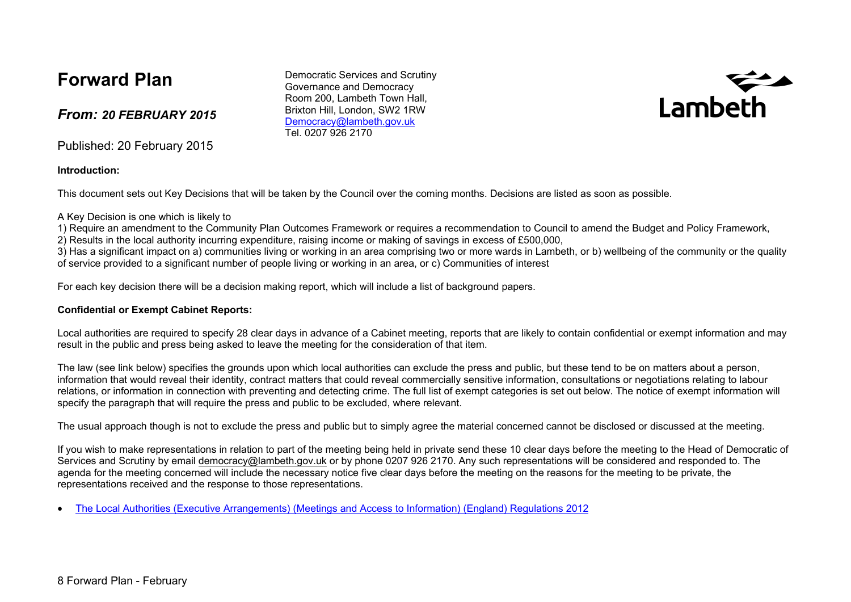## **Forward Plan**

#### *From: 20 FEBRUARY 2015*

Published: 20 February 2015

**Introduction:**

This document sets out Key Decisions that will be taken by the Council over the coming months. Decisions are listed as soon as possible.

A Key Decision is one which is likely to

1) Require an amendment to the Community Plan Outcomes Framework or requires a recommendation to Council to amend the Budget and Policy Framework,

2) Results in the local authority incurring expenditure, raising income or making of savings in excess of £500,000,

3) Has a significant impact on a) communities living or working in an area comprising two or more wards in Lambeth, or b) wellbeing of the community or the quality of service provided to a significant number of people living or working in an area, or c) Communities of interest

For each key decision there will be a decision making report, which will include a list of background papers.

#### **Confidential or Exempt Cabinet Reports:**

Local authorities are required to specify 28 clear days in advance of a Cabinet meeting, reports that are likely to contain confidential or exempt information and may result in the public and press being asked to leave the meeting for the consideration of that item.

The law (see link below) specifies the grounds upon which local authorities can exclude the press and public, but these tend to be on matters about a person, information that would reveal their identity, contract matters that could reveal commercially sensitive information, consultations or negotiations relating to labour relations, or information in connection with preventing and detecting crime. The full list of exempt categories is set out below. The notice of exempt information will specify the paragraph that will require the press and public to be excluded, where relevant.

The usual approach though is not to exclude the press and public but to simply agree the material concerned cannot be disclosed or discussed at the meeting.

If you wish to make representations in relation to part of the meeting being held in private send these 10 clear days before the meeting to the Head of Democratic of Services and Scrutiny by email [democracy@lambeth.gov.uk](mailto:democracy@lambeth.gov.uk) or by phone 0207 926 2170. Any such representations will be considered and responded to. The agenda for the meeting concerned will include the necessary notice five clear days before the meeting on the reasons for the meeting to be private, the representations received and the response to those representations.

The Local Authorities (Executive [Arrangements\)](http://www.legislation.gov.uk/uksi/2012/2089/made) (Meetings and Access to Information) (England) [Regulations](http://www.legislation.gov.uk/uksi/2012/2089/made) 2012

Lambeth

Democratic Services and Scrutiny Governance and Democracy Room 200, Lambeth Town Hall, Brixton Hill, London, SW2 1RW [Democracy@lambeth.gov.uk](mailto:Democracy@lambeth.gov.uk) Tel. 0207 926 2170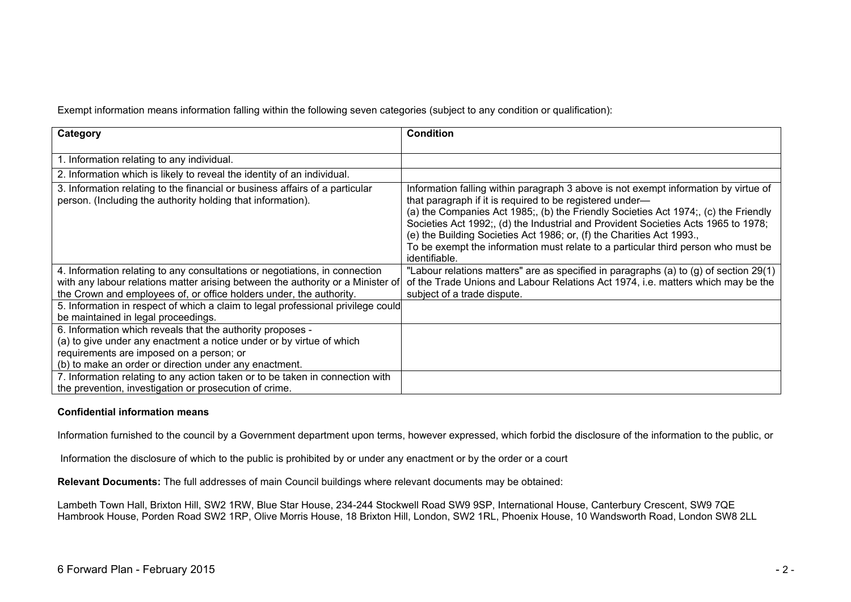Exempt information means information falling within the following seven categories (subject to any condition or qualification):

| Category                                                                                                                                                                                                                                 | <b>Condition</b>                                                                                                                                                                                                                                                                                                                                                                                                                                                                                          |
|------------------------------------------------------------------------------------------------------------------------------------------------------------------------------------------------------------------------------------------|-----------------------------------------------------------------------------------------------------------------------------------------------------------------------------------------------------------------------------------------------------------------------------------------------------------------------------------------------------------------------------------------------------------------------------------------------------------------------------------------------------------|
| 1. Information relating to any individual.                                                                                                                                                                                               |                                                                                                                                                                                                                                                                                                                                                                                                                                                                                                           |
| 2. Information which is likely to reveal the identity of an individual.                                                                                                                                                                  |                                                                                                                                                                                                                                                                                                                                                                                                                                                                                                           |
| 3. Information relating to the financial or business affairs of a particular<br>person. (Including the authority holding that information).                                                                                              | Information falling within paragraph 3 above is not exempt information by virtue of<br>that paragraph if it is required to be registered under—<br>(a) the Companies Act 1985; (b) the Friendly Societies Act 1974; (c) the Friendly<br>Societies Act 1992;, (d) the Industrial and Provident Societies Acts 1965 to 1978;<br>(e) the Building Societies Act 1986; or, (f) the Charities Act 1993.,<br>To be exempt the information must relate to a particular third person who must be<br>identifiable. |
| 4. Information relating to any consultations or negotiations, in connection<br>with any labour relations matter arising between the authority or a Minister of<br>the Crown and employees of, or office holders under, the authority.    | "Labour relations matters" are as specified in paragraphs (a) to (g) of section $29(1)$<br>of the Trade Unions and Labour Relations Act 1974, i.e. matters which may be the<br>subject of a trade dispute.                                                                                                                                                                                                                                                                                                |
| 5. Information in respect of which a claim to legal professional privilege could<br>be maintained in legal proceedings.                                                                                                                  |                                                                                                                                                                                                                                                                                                                                                                                                                                                                                                           |
| 6. Information which reveals that the authority proposes -<br>(a) to give under any enactment a notice under or by virtue of which<br>requirements are imposed on a person; or<br>(b) to make an order or direction under any enactment. |                                                                                                                                                                                                                                                                                                                                                                                                                                                                                                           |
| 7. Information relating to any action taken or to be taken in connection with<br>the prevention, investigation or prosecution of crime.                                                                                                  |                                                                                                                                                                                                                                                                                                                                                                                                                                                                                                           |

#### **Confidential information means**

Information furnished to the council by a Government department upon terms, however expressed, which forbid the disclosure of the information to the public, or

Information the disclosure of which to the public is prohibited by or under any enactment or by the order or a court

**Relevant Documents:** The full addresses of main Council buildings where relevant documents may be obtained:

Lambeth Town Hall, Brixton Hill, SW2 1RW, Blue Star House, 234-244 Stockwell Road SW9 9SP, International House, Canterbury Crescent, SW9 7QE Hambrook House, Porden Road SW2 1RP, Olive Morris House, 18 Brixton Hill, London, SW2 1RL, Phoenix House, 10 Wandsworth Road, London SW8 2LL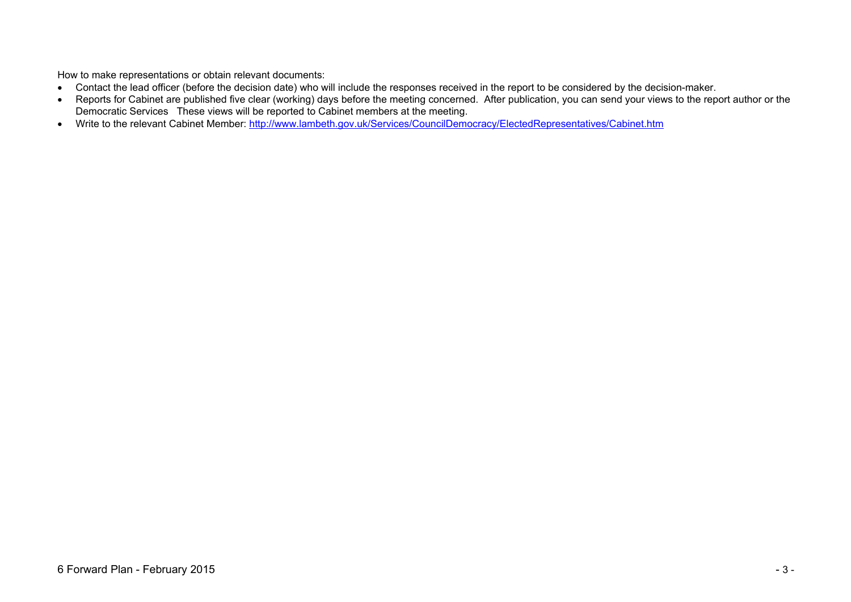How to make representations or obtain relevant documents:

- Contact the lead officer (before the decision date) who will include the responses received in the report to be considered by the decision-maker.
- Reports for Cabinet are published five clear (working) days before the meeting concerned. After publication, you can send your views to the report author or the Democratic Services These views will be reported to Cabinet members at the meeting.
- Write to the relevant Cabinet Member: <http://www.lambeth.gov.uk/Services/CouncilDemocracy/ElectedRepresentatives/Cabinet.htm>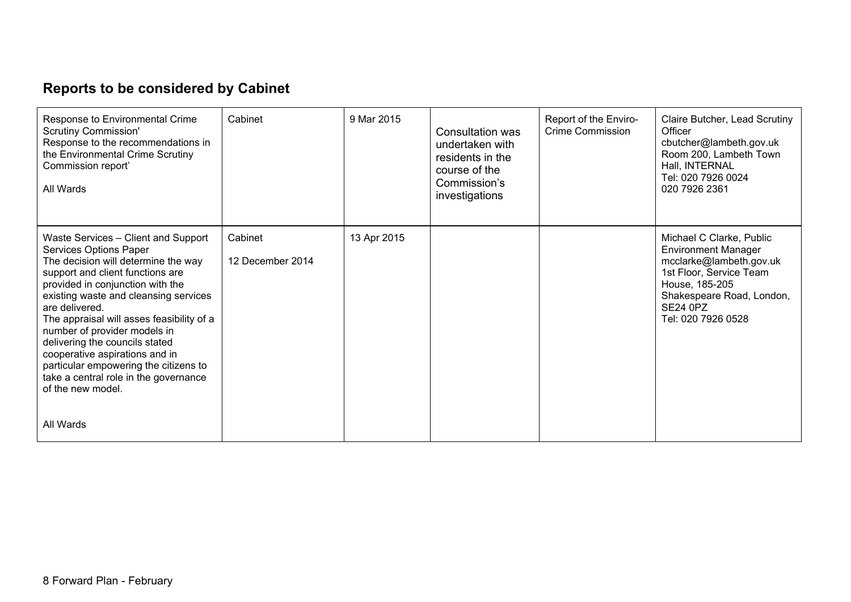# **Reports to be considered by Cabinet**

| Response to Environmental Crime<br><b>Scrutiny Commission'</b><br>Response to the recommendations in<br>the Environmental Crime Scrutiny<br>Commission report'<br>All Wards                                                                                                                                                                                                                                                                                                                     | Cabinet                     | 9 Mar 2015  | Consultation was<br>undertaken with<br>residents in the<br>course of the<br>Commission's<br>investigations | Report of the Enviro-<br>Crime Commission | Claire Butcher, Lead Scrutiny<br>Officer<br>cbutcher@lambeth.gov.uk<br>Room 200, Lambeth Town<br>Hall, INTERNAL<br>Tel: 020 7926 0024<br>020 7926 2361                                               |
|-------------------------------------------------------------------------------------------------------------------------------------------------------------------------------------------------------------------------------------------------------------------------------------------------------------------------------------------------------------------------------------------------------------------------------------------------------------------------------------------------|-----------------------------|-------------|------------------------------------------------------------------------------------------------------------|-------------------------------------------|------------------------------------------------------------------------------------------------------------------------------------------------------------------------------------------------------|
| Waste Services - Client and Support<br>Services Options Paper<br>The decision will determine the way<br>support and client functions are<br>provided in conjunction with the<br>existing waste and cleansing services<br>are delivered.<br>The appraisal will asses feasibility of a<br>number of provider models in<br>delivering the councils stated<br>cooperative aspirations and in<br>particular empowering the citizens to<br>take a central role in the governance<br>of the new model. | Cabinet<br>12 December 2014 | 13 Apr 2015 |                                                                                                            |                                           | Michael C Clarke, Public<br><b>Environment Manager</b><br>mcclarke@lambeth.gov.uk<br>1st Floor, Service Team<br>House, 185-205<br>Shakespeare Road, London,<br><b>SE24 0PZ</b><br>Tel: 020 7926 0528 |
| All Wards                                                                                                                                                                                                                                                                                                                                                                                                                                                                                       |                             |             |                                                                                                            |                                           |                                                                                                                                                                                                      |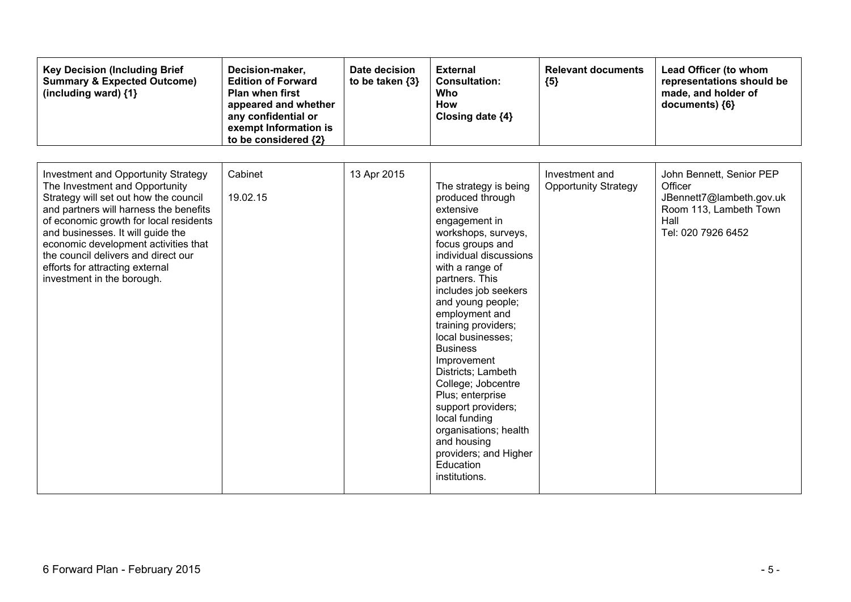| <b>Key Decision (Including Brief</b><br><b>Summary &amp; Expected Outcome)</b><br>(including ward) {1}                                                                                                                                                                                                                                                                                         | Decision-maker,<br><b>Edition of Forward</b><br><b>Plan when first</b><br>appeared and whether<br>any confidential or<br>exempt Information is<br>to be considered {2} | Date decision<br>to be taken $\{3\}$ | <b>External</b><br><b>Consultation:</b><br><b>Who</b><br><b>How</b><br>Closing date {4}                                                                                                                                                                                                                                                                                                                                                                                                                                              | <b>Relevant documents</b><br>${5}$            | Lead Officer (to whom<br>representations should be<br>made, and holder of<br>documents) {6}                             |
|------------------------------------------------------------------------------------------------------------------------------------------------------------------------------------------------------------------------------------------------------------------------------------------------------------------------------------------------------------------------------------------------|------------------------------------------------------------------------------------------------------------------------------------------------------------------------|--------------------------------------|--------------------------------------------------------------------------------------------------------------------------------------------------------------------------------------------------------------------------------------------------------------------------------------------------------------------------------------------------------------------------------------------------------------------------------------------------------------------------------------------------------------------------------------|-----------------------------------------------|-------------------------------------------------------------------------------------------------------------------------|
| <b>Investment and Opportunity Strategy</b><br>The Investment and Opportunity<br>Strategy will set out how the council<br>and partners will harness the benefits<br>of economic growth for local residents<br>and businesses. It will guide the<br>economic development activities that<br>the council delivers and direct our<br>efforts for attracting external<br>investment in the borough. | Cabinet<br>19.02.15                                                                                                                                                    | 13 Apr 2015                          | The strategy is being<br>produced through<br>extensive<br>engagement in<br>workshops, surveys,<br>focus groups and<br>individual discussions<br>with a range of<br>partners. This<br>includes job seekers<br>and young people;<br>employment and<br>training providers;<br>local businesses;<br><b>Business</b><br>Improvement<br>Districts; Lambeth<br>College; Jobcentre<br>Plus; enterprise<br>support providers;<br>local funding<br>organisations; health<br>and housing<br>providers; and Higher<br>Education<br>institutions. | Investment and<br><b>Opportunity Strategy</b> | John Bennett, Senior PEP<br>Officer<br>JBennett7@lambeth.gov.uk<br>Room 113, Lambeth Town<br>Hall<br>Tel: 020 7926 6452 |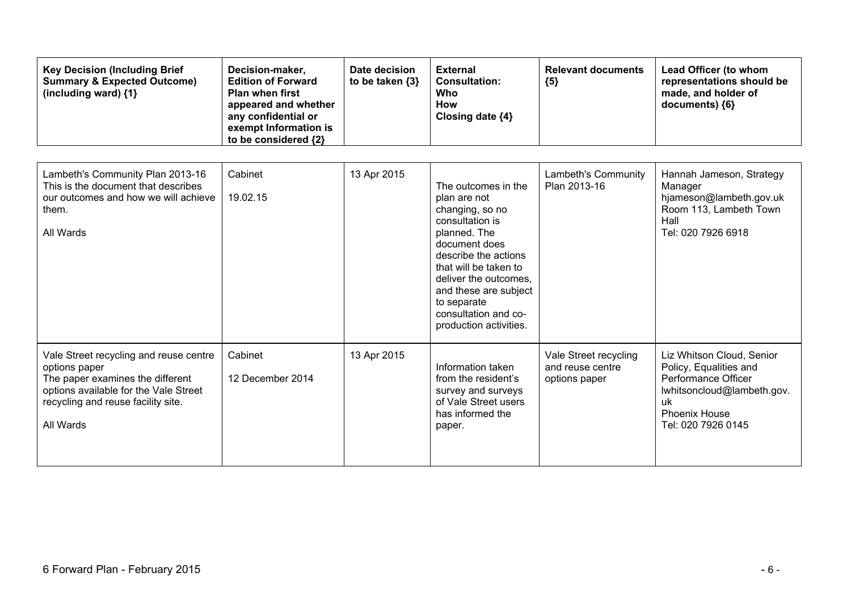| <b>Key Decision (Including Brief</b><br><b>Summary &amp; Expected Outcome)</b><br>(including ward) {1}                                                                                  | Decision-maker,<br><b>Edition of Forward</b><br><b>Plan when first</b><br>appeared and whether<br>any confidential or<br>exempt Information is<br>to be considered {2} | Date decision<br>to be taken $\{3\}$ | <b>External</b><br><b>Consultation:</b><br>Who<br><b>How</b><br>Closing date {4}                                                                                                                                                                                               | <b>Relevant documents</b><br>${5}$                         | Lead Officer (to whom<br>representations should be<br>made, and holder of<br>documents) {6}                                                                  |
|-----------------------------------------------------------------------------------------------------------------------------------------------------------------------------------------|------------------------------------------------------------------------------------------------------------------------------------------------------------------------|--------------------------------------|--------------------------------------------------------------------------------------------------------------------------------------------------------------------------------------------------------------------------------------------------------------------------------|------------------------------------------------------------|--------------------------------------------------------------------------------------------------------------------------------------------------------------|
| Lambeth's Community Plan 2013-16<br>This is the document that describes<br>our outcomes and how we will achieve<br>them.<br>All Wards                                                   | Cabinet<br>19.02.15                                                                                                                                                    | 13 Apr 2015                          | The outcomes in the<br>plan are not<br>changing, so no<br>consultation is<br>planned. The<br>document does<br>describe the actions<br>that will be taken to<br>deliver the outcomes,<br>and these are subject<br>to separate<br>consultation and co-<br>production activities. | Lambeth's Community<br>Plan 2013-16                        | Hannah Jameson, Strategy<br>Manager<br>hjameson@lambeth.gov.uk<br>Room 113, Lambeth Town<br>Hall<br>Tel: 020 7926 6918                                       |
| Vale Street recycling and reuse centre<br>options paper<br>The paper examines the different<br>options available for the Vale Street<br>recycling and reuse facility site.<br>All Wards | Cabinet<br>12 December 2014                                                                                                                                            | 13 Apr 2015                          | Information taken<br>from the resident's<br>survey and surveys<br>of Vale Street users<br>has informed the<br>paper.                                                                                                                                                           | Vale Street recycling<br>and reuse centre<br>options paper | Liz Whitson Cloud, Senior<br>Policy, Equalities and<br>Performance Officer<br>lwhitsoncloud@lambeth.gov.<br>uk<br><b>Phoenix House</b><br>Tel: 020 7926 0145 |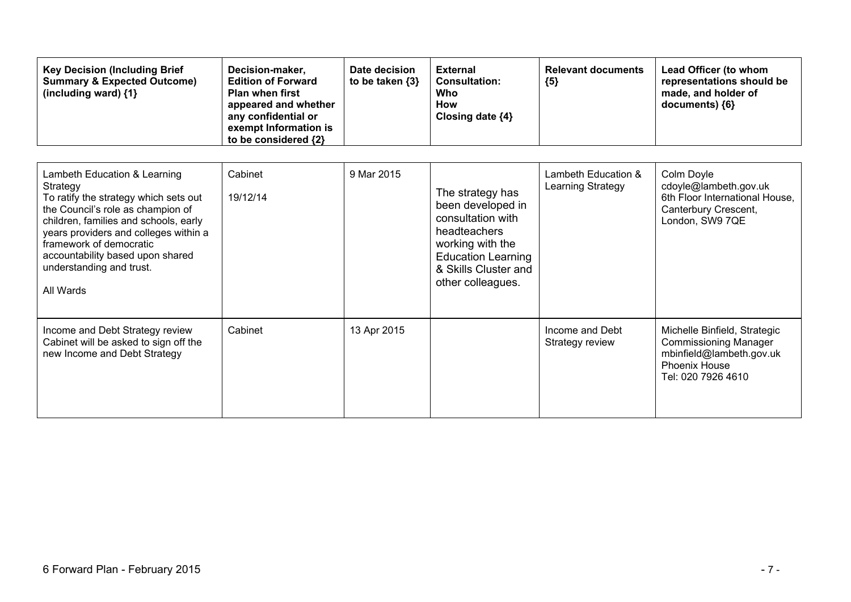| <b>Key Decision (Including Brief</b><br><b>Summary &amp; Expected Outcome)</b><br>(including ward) {1}                                                                                                                                                                                                           | Decision-maker,<br><b>Edition of Forward</b><br><b>Plan when first</b><br>appeared and whether<br>any confidential or<br>exempt Information is<br>to be considered {2} | Date decision<br>to be taken $\{3\}$ | <b>External</b><br><b>Consultation:</b><br>Who<br>How<br>Closing date {4}                                                                                                | <b>Relevant documents</b><br>${5}$       | Lead Officer (to whom<br>representations should be<br>made, and holder of<br>documents) {6}                                            |
|------------------------------------------------------------------------------------------------------------------------------------------------------------------------------------------------------------------------------------------------------------------------------------------------------------------|------------------------------------------------------------------------------------------------------------------------------------------------------------------------|--------------------------------------|--------------------------------------------------------------------------------------------------------------------------------------------------------------------------|------------------------------------------|----------------------------------------------------------------------------------------------------------------------------------------|
| Lambeth Education & Learning<br>Strategy<br>To ratify the strategy which sets out<br>the Council's role as champion of<br>children, families and schools, early<br>years providers and colleges within a<br>framework of democratic<br>accountability based upon shared<br>understanding and trust.<br>All Wards | Cabinet<br>19/12/14                                                                                                                                                    | 9 Mar 2015                           | The strategy has<br>been developed in<br>consultation with<br>headteachers<br>working with the<br><b>Education Learning</b><br>& Skills Cluster and<br>other colleagues. | Lambeth Education &<br>Learning Strategy | Colm Doyle<br>cdoyle@lambeth.gov.uk<br>6th Floor International House.<br>Canterbury Crescent,<br>London, SW9 7QE                       |
| Income and Debt Strategy review<br>Cabinet will be asked to sign off the<br>new Income and Debt Strategy                                                                                                                                                                                                         | Cabinet                                                                                                                                                                | 13 Apr 2015                          |                                                                                                                                                                          | Income and Debt<br>Strategy review       | Michelle Binfield, Strategic<br><b>Commissioning Manager</b><br>mbinfield@lambeth.gov.uk<br><b>Phoenix House</b><br>Tel: 020 7926 4610 |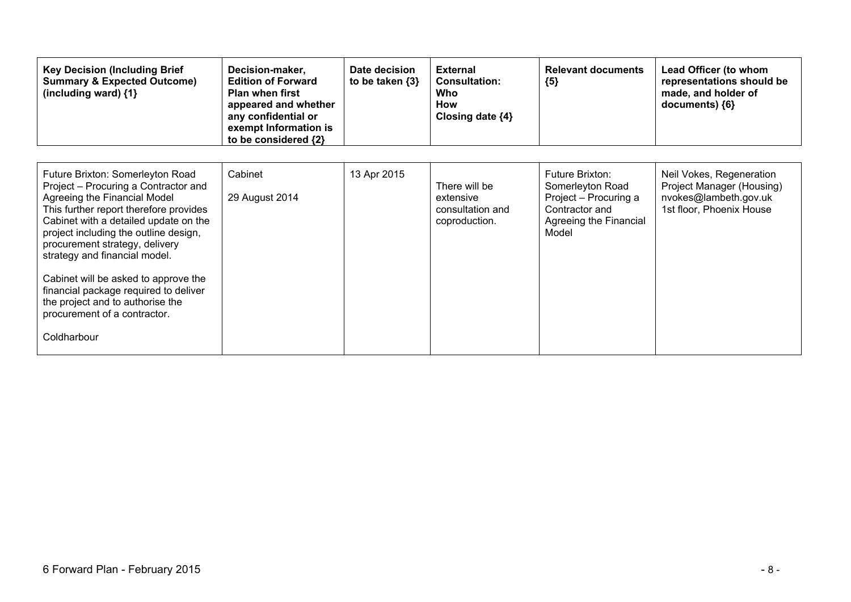| <b>Key Decision (Including Brief</b><br><b>Summary &amp; Expected Outcome)</b><br>(including ward) {1}                                                                                                                                                                                                                                                                                                                                                                      | Decision-maker,<br><b>Edition of Forward</b><br><b>Plan when first</b><br>appeared and whether<br>any confidential or<br>exempt Information is<br>to be considered {2} | Date decision<br>to be taken {3} | <b>External</b><br><b>Consultation:</b><br>Who<br>How<br>Closing date $\{4\}$ | <b>Relevant documents</b><br>${5}$                                                                                       | Lead Officer (to whom<br>representations should be<br>made, and holder of<br>documents) {6}                |
|-----------------------------------------------------------------------------------------------------------------------------------------------------------------------------------------------------------------------------------------------------------------------------------------------------------------------------------------------------------------------------------------------------------------------------------------------------------------------------|------------------------------------------------------------------------------------------------------------------------------------------------------------------------|----------------------------------|-------------------------------------------------------------------------------|--------------------------------------------------------------------------------------------------------------------------|------------------------------------------------------------------------------------------------------------|
| Future Brixton: Somerleyton Road<br>Project – Procuring a Contractor and<br>Agreeing the Financial Model<br>This further report therefore provides<br>Cabinet with a detailed update on the<br>project including the outline design,<br>procurement strategy, delivery<br>strategy and financial model.<br>Cabinet will be asked to approve the<br>financial package required to deliver<br>the project and to authorise the<br>procurement of a contractor.<br>Coldharbour | Cabinet<br>29 August 2014                                                                                                                                              | 13 Apr 2015                      | There will be<br>extensive<br>consultation and<br>coproduction.               | <b>Future Brixton:</b><br>Somerleyton Road<br>Project - Procuring a<br>Contractor and<br>Agreeing the Financial<br>Model | Neil Vokes, Regeneration<br>Project Manager (Housing)<br>nvokes@lambeth.gov.uk<br>1st floor, Phoenix House |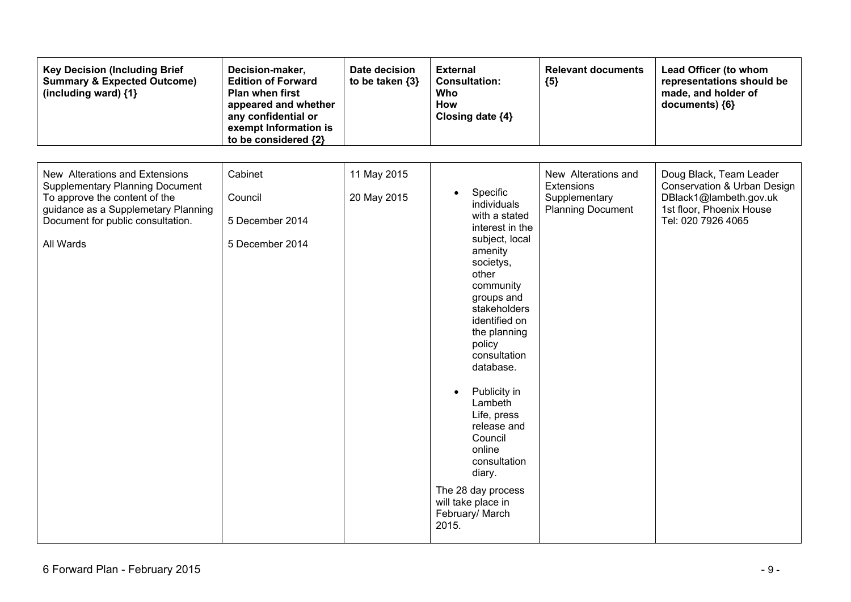| <b>Key Decision (Including Brief</b><br><b>Summary &amp; Expected Outcome)</b><br>(including ward) {1}                                                                                             | Decision-maker,<br><b>Edition of Forward</b><br><b>Plan when first</b><br>appeared and whether<br>any confidential or<br>exempt Information is<br>to be considered {2} | Date decision<br>to be taken {3} | <b>External</b><br><b>Consultation:</b><br>Who<br>How<br>Closing date {4}                                                                                                                                                                                                                                                                                                                                                      | <b>Relevant documents</b><br>${5}$                                             | Lead Officer (to whom<br>representations should be<br>made, and holder of<br>documents) {6}                                        |
|----------------------------------------------------------------------------------------------------------------------------------------------------------------------------------------------------|------------------------------------------------------------------------------------------------------------------------------------------------------------------------|----------------------------------|--------------------------------------------------------------------------------------------------------------------------------------------------------------------------------------------------------------------------------------------------------------------------------------------------------------------------------------------------------------------------------------------------------------------------------|--------------------------------------------------------------------------------|------------------------------------------------------------------------------------------------------------------------------------|
| New Alterations and Extensions<br><b>Supplementary Planning Document</b><br>To approve the content of the<br>guidance as a Supplemetary Planning<br>Document for public consultation.<br>All Wards | Cabinet<br>Council<br>5 December 2014<br>5 December 2014                                                                                                               | 11 May 2015<br>20 May 2015       | Specific<br>individuals<br>with a stated<br>interest in the<br>subject, local<br>amenity<br>societys,<br>other<br>community<br>groups and<br>stakeholders<br>identified on<br>the planning<br>policy<br>consultation<br>database.<br>Publicity in<br>$\bullet$<br>Lambeth<br>Life, press<br>release and<br>Council<br>online<br>consultation<br>diary.<br>The 28 day process<br>will take place in<br>February/ March<br>2015. | New Alterations and<br>Extensions<br>Supplementary<br><b>Planning Document</b> | Doug Black, Team Leader<br>Conservation & Urban Design<br>DBlack1@lambeth.gov.uk<br>1st floor, Phoenix House<br>Tel: 020 7926 4065 |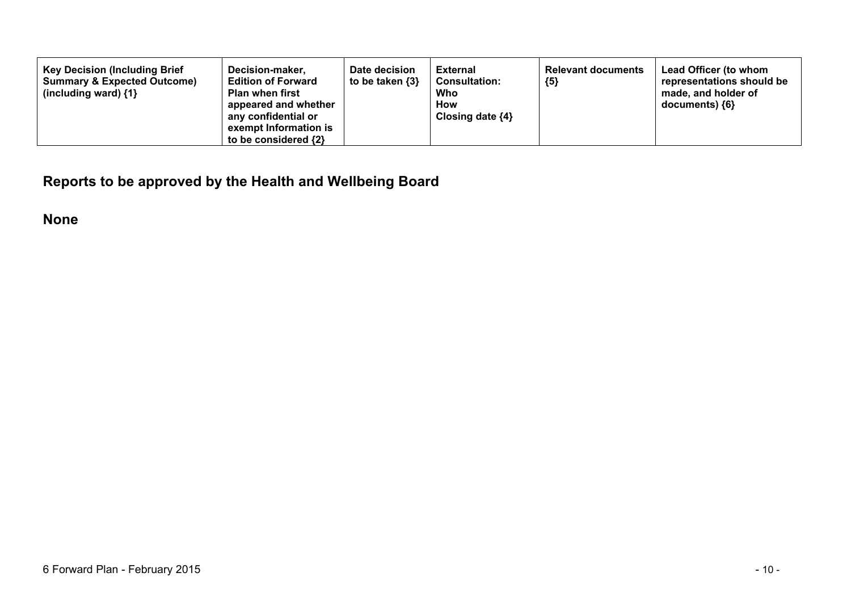| <b>Key Decision (Including Brief</b><br>Decision-maker,<br><b>Summary &amp; Expected Outcome)</b><br><b>Edition of Forward</b><br><b>Plan when first</b><br>(including ward) $\{1\}$<br>appeared and whether<br>any confidential or<br>exempt Information is<br>to be considered {2} | Date decision<br>to be taken $\{3\}$ | <b>External</b><br><b>Consultation:</b><br>Who<br>How<br>Closing date $\{4\}$ | <b>Relevant documents</b><br>${5}$ | Lead Officer (to whom<br>representations should be<br>made, and holder of<br>$documents)$ {6} |
|--------------------------------------------------------------------------------------------------------------------------------------------------------------------------------------------------------------------------------------------------------------------------------------|--------------------------------------|-------------------------------------------------------------------------------|------------------------------------|-----------------------------------------------------------------------------------------------|
|--------------------------------------------------------------------------------------------------------------------------------------------------------------------------------------------------------------------------------------------------------------------------------------|--------------------------------------|-------------------------------------------------------------------------------|------------------------------------|-----------------------------------------------------------------------------------------------|

**Reports to be approved by the Health and Wellbeing Board**

**None**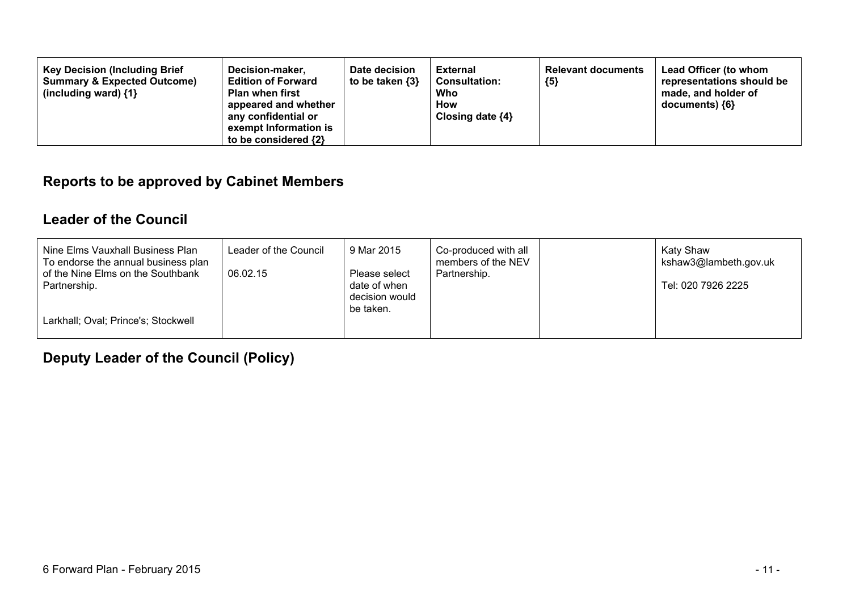#### **Reports to be approved by Cabinet Members**

#### **Leader of the Council**

| Nine Elms Vauxhall Business Plan<br>To endorse the annual business plan | Leader of the Council | 9 Mar 2015                                  | Co-produced with all<br>members of the NEV | Katy Shaw<br>kshaw3@lambeth.gov.uk |
|-------------------------------------------------------------------------|-----------------------|---------------------------------------------|--------------------------------------------|------------------------------------|
| of the Nine Elms on the Southbank                                       | 06.02.15              | Please select                               | Partnership.                               |                                    |
| Partnership.                                                            |                       | date of when<br>decision would<br>be taken. |                                            | Tel: 020 7926 2225                 |
| Larkhall; Oval; Prince's; Stockwell                                     |                       |                                             |                                            |                                    |

**Deputy Leader of the Council (Policy)**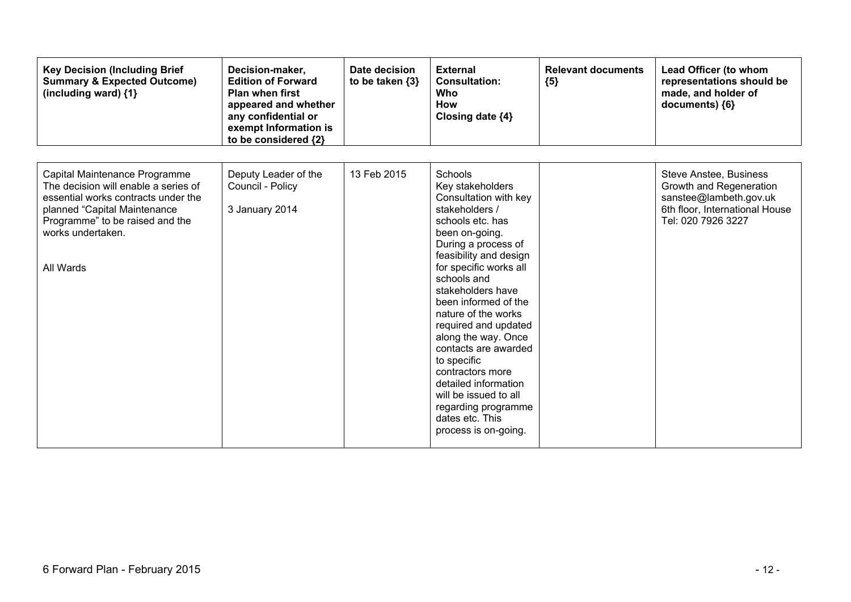| <b>Key Decision (Including Brief</b><br><b>Summary &amp; Expected Outcome)</b><br>(including ward) $\{1\}$                                                                                                        | Decision-maker,<br><b>Edition of Forward</b><br><b>Plan when first</b><br>appeared and whether<br>any confidential or<br>exempt Information is<br>to be considered {2} | Date decision<br>to be taken $\{3\}$ | <b>External</b><br><b>Consultation:</b><br><b>Who</b><br><b>How</b><br>Closing date {4}                                                                                                                                                                                                                                                                                                                                                                                                                        | <b>Relevant documents</b><br>${5}$ | Lead Officer (to whom<br>representations should be<br>made, and holder of<br>documents) {6}                                                |
|-------------------------------------------------------------------------------------------------------------------------------------------------------------------------------------------------------------------|------------------------------------------------------------------------------------------------------------------------------------------------------------------------|--------------------------------------|----------------------------------------------------------------------------------------------------------------------------------------------------------------------------------------------------------------------------------------------------------------------------------------------------------------------------------------------------------------------------------------------------------------------------------------------------------------------------------------------------------------|------------------------------------|--------------------------------------------------------------------------------------------------------------------------------------------|
| Capital Maintenance Programme<br>The decision will enable a series of<br>essential works contracts under the<br>planned "Capital Maintenance<br>Programme" to be raised and the<br>works undertaken.<br>All Wards | Deputy Leader of the<br>Council - Policy<br>3 January 2014                                                                                                             | 13 Feb 2015                          | <b>Schools</b><br>Key stakeholders<br>Consultation with key<br>stakeholders /<br>schools etc. has<br>been on-going.<br>During a process of<br>feasibility and design<br>for specific works all<br>schools and<br>stakeholders have<br>been informed of the<br>nature of the works<br>required and updated<br>along the way. Once<br>contacts are awarded<br>to specific<br>contractors more<br>detailed information<br>will be issued to all<br>regarding programme<br>dates etc. This<br>process is on-going. |                                    | <b>Steve Anstee, Business</b><br>Growth and Regeneration<br>sanstee@lambeth.gov.uk<br>6th floor, International House<br>Tel: 020 7926 3227 |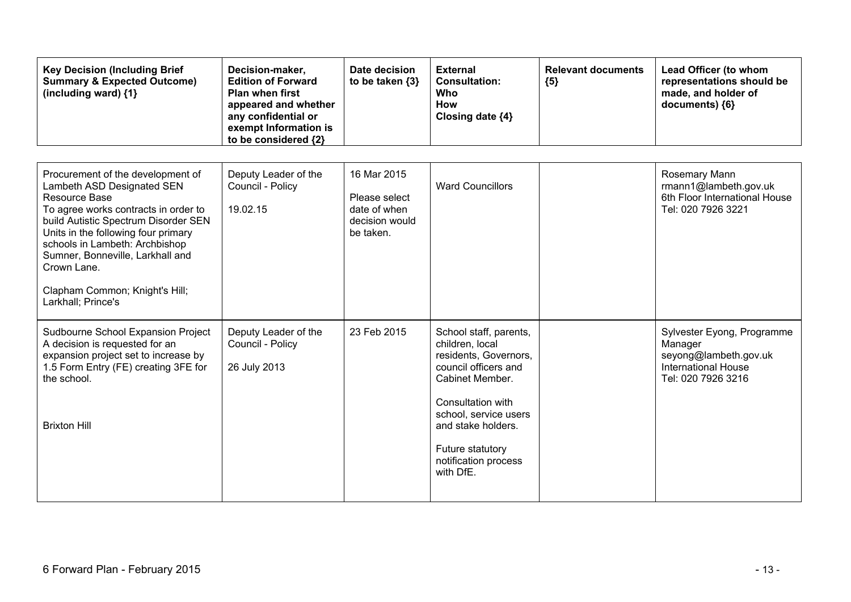| <b>Key Decision (Including Brief</b><br><b>Summary &amp; Expected Outcome)</b><br>(including ward) {1}                                                                                                                                                                                                                                               | Decision-maker,<br><b>Edition of Forward</b><br>Plan when first<br>appeared and whether<br>any confidential or<br>exempt Information is<br>to be considered {2} | Date decision<br>to be taken {3}                                            | <b>External</b><br><b>Consultation:</b><br><b>Who</b><br><b>How</b><br>Closing date {4}                                                                                                                                                    | <b>Relevant documents</b><br>${5}$ | Lead Officer (to whom<br>representations should be<br>made, and holder of<br>documents) {6}                        |
|------------------------------------------------------------------------------------------------------------------------------------------------------------------------------------------------------------------------------------------------------------------------------------------------------------------------------------------------------|-----------------------------------------------------------------------------------------------------------------------------------------------------------------|-----------------------------------------------------------------------------|--------------------------------------------------------------------------------------------------------------------------------------------------------------------------------------------------------------------------------------------|------------------------------------|--------------------------------------------------------------------------------------------------------------------|
| Procurement of the development of<br>Lambeth ASD Designated SEN<br>Resource Base<br>To agree works contracts in order to<br>build Autistic Spectrum Disorder SEN<br>Units in the following four primary<br>schools in Lambeth: Archbishop<br>Sumner, Bonneville, Larkhall and<br>Crown Lane.<br>Clapham Common; Knight's Hill;<br>Larkhall; Prince's | Deputy Leader of the<br>Council - Policy<br>19.02.15                                                                                                            | 16 Mar 2015<br>Please select<br>date of when<br>decision would<br>be taken. | <b>Ward Councillors</b>                                                                                                                                                                                                                    |                                    | Rosemary Mann<br>rmann1@lambeth.gov.uk<br>6th Floor International House<br>Tel: 020 7926 3221                      |
| Sudbourne School Expansion Project<br>A decision is requested for an<br>expansion project set to increase by<br>1.5 Form Entry (FE) creating 3FE for<br>the school.<br><b>Brixton Hill</b>                                                                                                                                                           | Deputy Leader of the<br>Council - Policy<br>26 July 2013                                                                                                        | 23 Feb 2015                                                                 | School staff, parents,<br>children, local<br>residents, Governors,<br>council officers and<br>Cabinet Member.<br>Consultation with<br>school, service users<br>and stake holders.<br>Future statutory<br>notification process<br>with DfE. |                                    | Sylvester Eyong, Programme<br>Manager<br>seyong@lambeth.gov.uk<br><b>International House</b><br>Tel: 020 7926 3216 |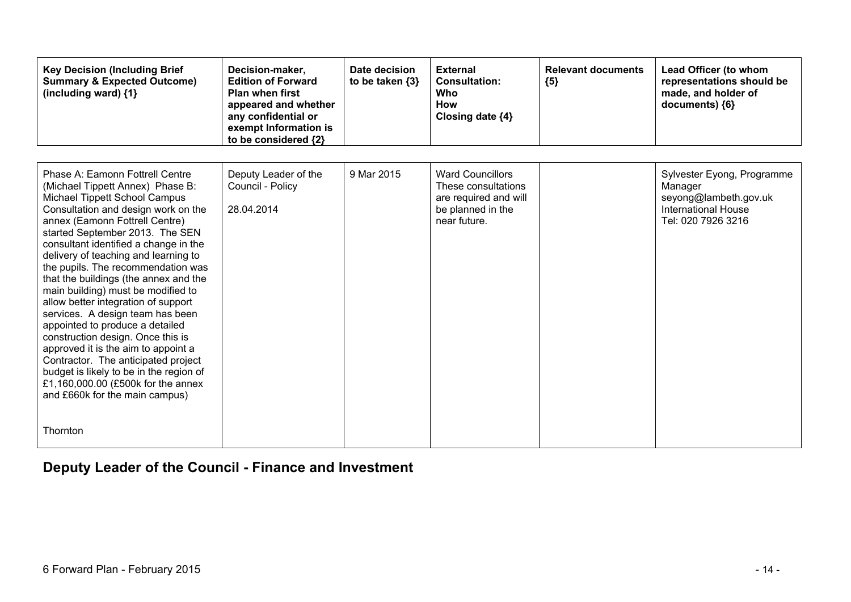| <b>Key Decision (Including Brief</b><br><b>Summary &amp; Expected Outcome)</b><br>(including ward) {1}                                                                                                                                                                                                                                                                                                                                                                                                                                                                                                                                                                                                                                                                                 | Decision-maker,<br><b>Edition of Forward</b><br><b>Plan when first</b><br>appeared and whether<br>any confidential or<br>exempt Information is<br>to be considered {2} | Date decision<br>to be taken $\{3\}$ | <b>External</b><br><b>Consultation:</b><br><b>Who</b><br><b>How</b><br>Closing date {4}                      | <b>Relevant documents</b><br>${5}$ | Lead Officer (to whom<br>representations should be<br>made, and holder of<br>documents) {6}                        |
|----------------------------------------------------------------------------------------------------------------------------------------------------------------------------------------------------------------------------------------------------------------------------------------------------------------------------------------------------------------------------------------------------------------------------------------------------------------------------------------------------------------------------------------------------------------------------------------------------------------------------------------------------------------------------------------------------------------------------------------------------------------------------------------|------------------------------------------------------------------------------------------------------------------------------------------------------------------------|--------------------------------------|--------------------------------------------------------------------------------------------------------------|------------------------------------|--------------------------------------------------------------------------------------------------------------------|
| Phase A: Eamonn Fottrell Centre<br>(Michael Tippett Annex) Phase B:<br>Michael Tippett School Campus<br>Consultation and design work on the<br>annex (Eamonn Fottrell Centre)<br>started September 2013. The SEN<br>consultant identified a change in the<br>delivery of teaching and learning to<br>the pupils. The recommendation was<br>that the buildings (the annex and the<br>main building) must be modified to<br>allow better integration of support<br>services. A design team has been<br>appointed to produce a detailed<br>construction design. Once this is<br>approved it is the aim to appoint a<br>Contractor. The anticipated project<br>budget is likely to be in the region of<br>£1,160,000.00 (£500k for the annex<br>and £660k for the main campus)<br>Thornton | Deputy Leader of the<br>Council - Policy<br>28.04.2014                                                                                                                 | 9 Mar 2015                           | <b>Ward Councillors</b><br>These consultations<br>are required and will<br>be planned in the<br>near future. |                                    | Sylvester Eyong, Programme<br>Manager<br>seyong@lambeth.gov.uk<br><b>International House</b><br>Tel: 020 7926 3216 |

## **Deputy Leader of the Council - Finance and Investment**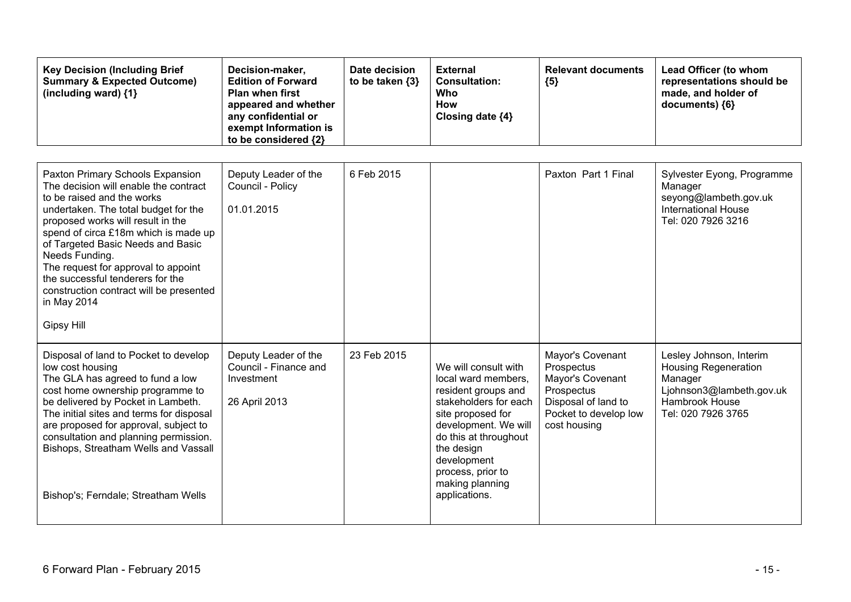| <b>Key Decision (Including Brief</b><br><b>Summary &amp; Expected Outcome)</b><br>(including ward) {1}                                                                                                                                                                                                                                                                                                                                        | Decision-maker,<br><b>Edition of Forward</b><br><b>Plan when first</b><br>appeared and whether<br>any confidential or<br>exempt Information is<br>to be considered {2} | Date decision<br>to be taken {3} | <b>External</b><br><b>Consultation:</b><br><b>Who</b><br><b>How</b><br>Closing date {4}                                                                                                                                                                 | <b>Relevant documents</b><br>${5}$                                                                                               | Lead Officer (to whom<br>representations should be<br>made, and holder of<br>documents) {6}                                           |
|-----------------------------------------------------------------------------------------------------------------------------------------------------------------------------------------------------------------------------------------------------------------------------------------------------------------------------------------------------------------------------------------------------------------------------------------------|------------------------------------------------------------------------------------------------------------------------------------------------------------------------|----------------------------------|---------------------------------------------------------------------------------------------------------------------------------------------------------------------------------------------------------------------------------------------------------|----------------------------------------------------------------------------------------------------------------------------------|---------------------------------------------------------------------------------------------------------------------------------------|
|                                                                                                                                                                                                                                                                                                                                                                                                                                               |                                                                                                                                                                        |                                  |                                                                                                                                                                                                                                                         |                                                                                                                                  |                                                                                                                                       |
| Paxton Primary Schools Expansion<br>The decision will enable the contract<br>to be raised and the works<br>undertaken. The total budget for the<br>proposed works will result in the<br>spend of circa £18m which is made up<br>of Targeted Basic Needs and Basic<br>Needs Funding.<br>The request for approval to appoint<br>the successful tenderers for the<br>construction contract will be presented<br>in May 2014<br><b>Gipsy Hill</b> | Deputy Leader of the<br>Council - Policy<br>01.01.2015                                                                                                                 | 6 Feb 2015                       |                                                                                                                                                                                                                                                         | Paxton Part 1 Final                                                                                                              | Sylvester Eyong, Programme<br>Manager<br>seyong@lambeth.gov.uk<br><b>International House</b><br>Tel: 020 7926 3216                    |
| Disposal of land to Pocket to develop<br>low cost housing<br>The GLA has agreed to fund a low<br>cost home ownership programme to<br>be delivered by Pocket in Lambeth.<br>The initial sites and terms for disposal<br>are proposed for approval, subject to<br>consultation and planning permission.<br>Bishops, Streatham Wells and Vassall<br>Bishop's; Ferndale; Streatham Wells                                                          | Deputy Leader of the<br>Council - Finance and<br>Investment<br>26 April 2013                                                                                           | 23 Feb 2015                      | We will consult with<br>local ward members,<br>resident groups and<br>stakeholders for each<br>site proposed for<br>development. We will<br>do this at throughout<br>the design<br>development<br>process, prior to<br>making planning<br>applications. | Mayor's Covenant<br>Prospectus<br>Mayor's Covenant<br>Prospectus<br>Disposal of land to<br>Pocket to develop low<br>cost housing | Lesley Johnson, Interim<br><b>Housing Regeneration</b><br>Manager<br>Ljohnson3@lambeth.gov.uk<br>Hambrook House<br>Tel: 020 7926 3765 |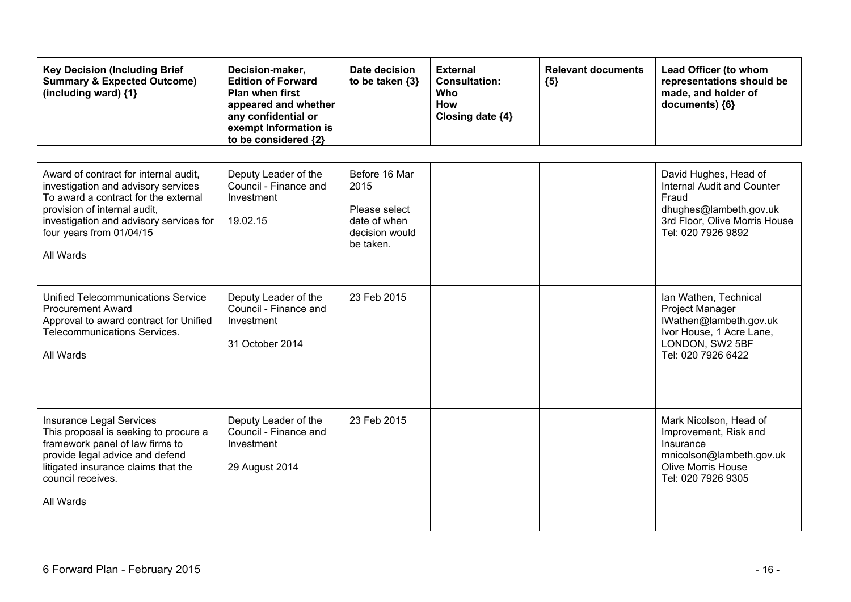| <b>Key Decision (Including Brief</b><br><b>Summary &amp; Expected Outcome)</b><br>(including ward) $\{1\}$                                                                                                                               | Decision-maker,<br><b>Edition of Forward</b><br>Plan when first<br>appeared and whether<br>any confidential or<br>exempt Information is<br>to be considered {2} | Date decision<br>to be taken {3}                                                      | <b>External</b><br><b>Consultation:</b><br><b>Who</b><br><b>How</b><br>Closing date {4} | <b>Relevant documents</b><br>${5}$ | Lead Officer (to whom<br>representations should be<br>made, and holder of<br>documents) {6}                                                    |
|------------------------------------------------------------------------------------------------------------------------------------------------------------------------------------------------------------------------------------------|-----------------------------------------------------------------------------------------------------------------------------------------------------------------|---------------------------------------------------------------------------------------|-----------------------------------------------------------------------------------------|------------------------------------|------------------------------------------------------------------------------------------------------------------------------------------------|
| Award of contract for internal audit,<br>investigation and advisory services<br>To award a contract for the external<br>provision of internal audit,<br>investigation and advisory services for<br>four years from 01/04/15<br>All Wards | Deputy Leader of the<br>Council - Finance and<br>Investment<br>19.02.15                                                                                         | Before 16 Mar<br>2015<br>Please select<br>date of when<br>decision would<br>be taken. |                                                                                         |                                    | David Hughes, Head of<br>Internal Audit and Counter<br>Fraud<br>dhughes@lambeth.gov.uk<br>3rd Floor, Olive Morris House<br>Tel: 020 7926 9892  |
| Unified Telecommunications Service<br><b>Procurement Award</b><br>Approval to award contract for Unified<br>Telecommunications Services.<br>All Wards                                                                                    | Deputy Leader of the<br>Council - Finance and<br>Investment<br>31 October 2014                                                                                  | 23 Feb 2015                                                                           |                                                                                         |                                    | Ian Wathen, Technical<br><b>Project Manager</b><br>IWathen@lambeth.gov.uk<br>Ivor House, 1 Acre Lane,<br>LONDON, SW2 5BF<br>Tel: 020 7926 6422 |
| <b>Insurance Legal Services</b><br>This proposal is seeking to procure a<br>framework panel of law firms to<br>provide legal advice and defend<br>litigated insurance claims that the<br>council receives.<br>All Wards                  | Deputy Leader of the<br>Council - Finance and<br>Investment<br>29 August 2014                                                                                   | 23 Feb 2015                                                                           |                                                                                         |                                    | Mark Nicolson, Head of<br>Improvement, Risk and<br>Insurance<br>mnicolson@lambeth.gov.uk<br><b>Olive Morris House</b><br>Tel: 020 7926 9305    |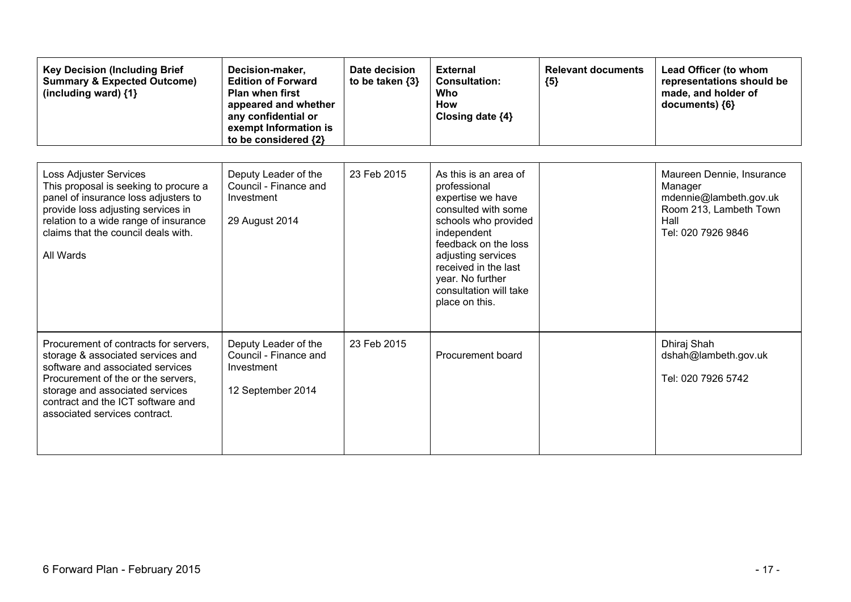| <b>Key Decision (Including Brief</b><br><b>Summary &amp; Expected Outcome)</b><br>(including ward) {1}                                                                                                                                                        | Decision-maker,<br><b>Edition of Forward</b><br><b>Plan when first</b><br>appeared and whether<br>any confidential or<br>exempt Information is<br>to be considered {2} | Date decision<br>to be taken $\{3\}$ | <b>External</b><br><b>Consultation:</b><br>Who<br><b>How</b><br>Closing date {4}                                                                                                                                                                               | <b>Relevant documents</b><br>${5}$ | Lead Officer (to whom<br>representations should be<br>made, and holder of<br>documents) {6}                            |
|---------------------------------------------------------------------------------------------------------------------------------------------------------------------------------------------------------------------------------------------------------------|------------------------------------------------------------------------------------------------------------------------------------------------------------------------|--------------------------------------|----------------------------------------------------------------------------------------------------------------------------------------------------------------------------------------------------------------------------------------------------------------|------------------------------------|------------------------------------------------------------------------------------------------------------------------|
| <b>Loss Adjuster Services</b><br>This proposal is seeking to procure a<br>panel of insurance loss adjusters to<br>provide loss adjusting services in<br>relation to a wide range of insurance<br>claims that the council deals with.<br>All Wards             | Deputy Leader of the<br>Council - Finance and<br>Investment<br>29 August 2014                                                                                          | 23 Feb 2015                          | As this is an area of<br>professional<br>expertise we have<br>consulted with some<br>schools who provided<br>independent<br>feedback on the loss<br>adjusting services<br>received in the last<br>year. No further<br>consultation will take<br>place on this. |                                    | Maureen Dennie, Insurance<br>Manager<br>mdennie@lambeth.gov.uk<br>Room 213, Lambeth Town<br>Hall<br>Tel: 020 7926 9846 |
| Procurement of contracts for servers,<br>storage & associated services and<br>software and associated services<br>Procurement of the or the servers,<br>storage and associated services<br>contract and the ICT software and<br>associated services contract. | Deputy Leader of the<br>Council - Finance and<br>Investment<br>12 September 2014                                                                                       | 23 Feb 2015                          | Procurement board                                                                                                                                                                                                                                              |                                    | Dhiraj Shah<br>dshah@lambeth.gov.uk<br>Tel: 020 7926 5742                                                              |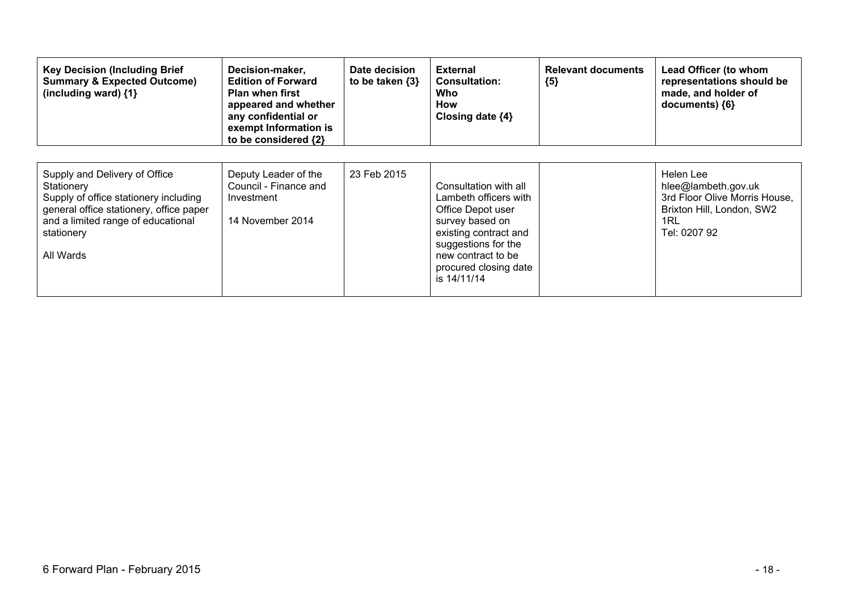| <b>Key Decision (Including Brief</b><br><b>Summary &amp; Expected Outcome)</b><br>(including ward) $\{1\}$                                                                                       | Decision-maker,<br><b>Edition of Forward</b><br><b>Plan when first</b><br>appeared and whether<br>any confidential or<br>exempt Information is<br>to be considered {2} | Date decision<br>to be taken $\{3\}$ | <b>External</b><br><b>Consultation:</b><br>Who<br>How<br>Closing date {4}                                                                                                                            | <b>Relevant documents</b><br>${5}$ | Lead Officer (to whom<br>representations should be<br>made, and holder of<br>documents) ${6}$                         |
|--------------------------------------------------------------------------------------------------------------------------------------------------------------------------------------------------|------------------------------------------------------------------------------------------------------------------------------------------------------------------------|--------------------------------------|------------------------------------------------------------------------------------------------------------------------------------------------------------------------------------------------------|------------------------------------|-----------------------------------------------------------------------------------------------------------------------|
| Supply and Delivery of Office<br>Stationery<br>Supply of office stationery including<br>general office stationery, office paper<br>and a limited range of educational<br>stationery<br>All Wards | Deputy Leader of the<br>Council - Finance and<br>Investment<br>14 November 2014                                                                                        | 23 Feb 2015                          | Consultation with all<br>Lambeth officers with<br>Office Depot user<br>survey based on<br>existing contract and<br>suggestions for the<br>new contract to be<br>procured closing date<br>is 14/11/14 |                                    | Helen Lee<br>hlee@lambeth.gov.uk<br>3rd Floor Olive Morris House,<br>Brixton Hill, London, SW2<br>1RL<br>Tel: 0207 92 |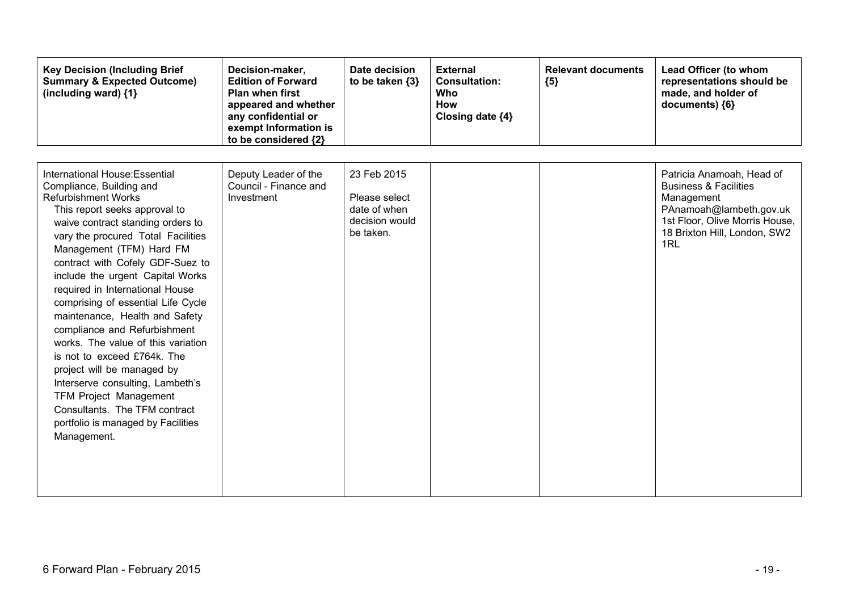| <b>Key Decision (Including Brief</b><br><b>Summary &amp; Expected Outcome)</b><br>(including ward) {1}                                                                                                                                                                                                                                                                                                                                                                                                                                                                                                                                                                                                            | Decision-maker,<br><b>Edition of Forward</b><br><b>Plan when first</b><br>appeared and whether<br>any confidential or<br>exempt Information is<br>to be considered {2} | Date decision<br>to be taken $\{3\}$                                        | <b>External</b><br><b>Consultation:</b><br>Who<br>How<br>Closing date {4} | <b>Relevant documents</b><br>${5}$ | Lead Officer (to whom<br>representations should be<br>made, and holder of<br>documents) {6}                                                                                     |
|-------------------------------------------------------------------------------------------------------------------------------------------------------------------------------------------------------------------------------------------------------------------------------------------------------------------------------------------------------------------------------------------------------------------------------------------------------------------------------------------------------------------------------------------------------------------------------------------------------------------------------------------------------------------------------------------------------------------|------------------------------------------------------------------------------------------------------------------------------------------------------------------------|-----------------------------------------------------------------------------|---------------------------------------------------------------------------|------------------------------------|---------------------------------------------------------------------------------------------------------------------------------------------------------------------------------|
| International House: Essential<br>Compliance, Building and<br><b>Refurbishment Works</b><br>This report seeks approval to<br>waive contract standing orders to<br>vary the procured Total Facilities<br>Management (TFM) Hard FM<br>contract with Cofely GDF-Suez to<br>include the urgent Capital Works<br>required in International House<br>comprising of essential Life Cycle<br>maintenance, Health and Safety<br>compliance and Refurbishment<br>works. The value of this variation<br>is not to exceed £764k. The<br>project will be managed by<br>Interserve consulting, Lambeth's<br><b>TFM Project Management</b><br>Consultants. The TFM contract<br>portfolio is managed by Facilities<br>Management. | Deputy Leader of the<br>Council - Finance and<br>Investment                                                                                                            | 23 Feb 2015<br>Please select<br>date of when<br>decision would<br>be taken. |                                                                           |                                    | Patricia Anamoah, Head of<br><b>Business &amp; Facilities</b><br>Management<br>PAnamoah@lambeth.gov.uk<br>1st Floor, Olive Morris House,<br>18 Brixton Hill, London, SW2<br>1RL |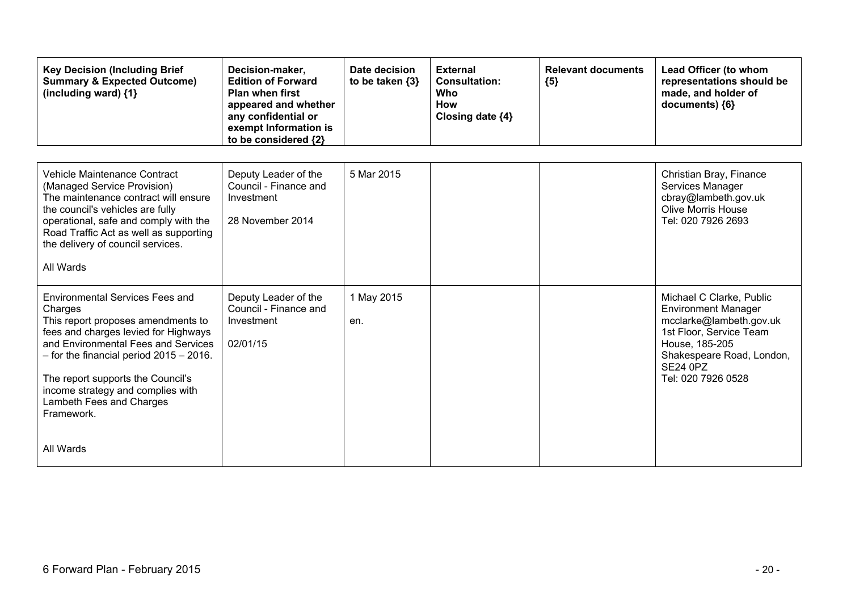| <b>Key Decision (Including Brief</b><br><b>Summary &amp; Expected Outcome)</b><br>(including ward) {1}                                                                                                                                                                                                                                    | Decision-maker,<br><b>Edition of Forward</b><br><b>Plan when first</b><br>appeared and whether<br>any confidential or<br>exempt Information is<br>to be considered {2} | Date decision<br>to be taken $\{3\}$ | <b>External</b><br><b>Consultation:</b><br>Who<br><b>How</b><br>Closing date {4} | <b>Relevant documents</b><br>${5}$ | Lead Officer (to whom<br>representations should be<br>made, and holder of<br>documents) {6}                                                                                                          |
|-------------------------------------------------------------------------------------------------------------------------------------------------------------------------------------------------------------------------------------------------------------------------------------------------------------------------------------------|------------------------------------------------------------------------------------------------------------------------------------------------------------------------|--------------------------------------|----------------------------------------------------------------------------------|------------------------------------|------------------------------------------------------------------------------------------------------------------------------------------------------------------------------------------------------|
| Vehicle Maintenance Contract<br>(Managed Service Provision)<br>The maintenance contract will ensure<br>the council's vehicles are fully<br>operational, safe and comply with the<br>Road Traffic Act as well as supporting<br>the delivery of council services.<br>All Wards                                                              | Deputy Leader of the<br>Council - Finance and<br>Investment<br>28 November 2014                                                                                        | 5 Mar 2015                           |                                                                                  |                                    | Christian Bray, Finance<br>Services Manager<br>cbray@lambeth.gov.uk<br><b>Olive Morris House</b><br>Tel: 020 7926 2693                                                                               |
| <b>Environmental Services Fees and</b><br>Charges<br>This report proposes amendments to<br>fees and charges levied for Highways<br>and Environmental Fees and Services<br>$-$ for the financial period 2015 $-$ 2016.<br>The report supports the Council's<br>income strategy and complies with<br>Lambeth Fees and Charges<br>Framework. | Deputy Leader of the<br>Council - Finance and<br>Investment<br>02/01/15                                                                                                | 1 May 2015<br>en.                    |                                                                                  |                                    | Michael C Clarke, Public<br><b>Environment Manager</b><br>mcclarke@lambeth.gov.uk<br>1st Floor, Service Team<br>House, 185-205<br>Shakespeare Road, London,<br><b>SE24 0PZ</b><br>Tel: 020 7926 0528 |
| All Wards                                                                                                                                                                                                                                                                                                                                 |                                                                                                                                                                        |                                      |                                                                                  |                                    |                                                                                                                                                                                                      |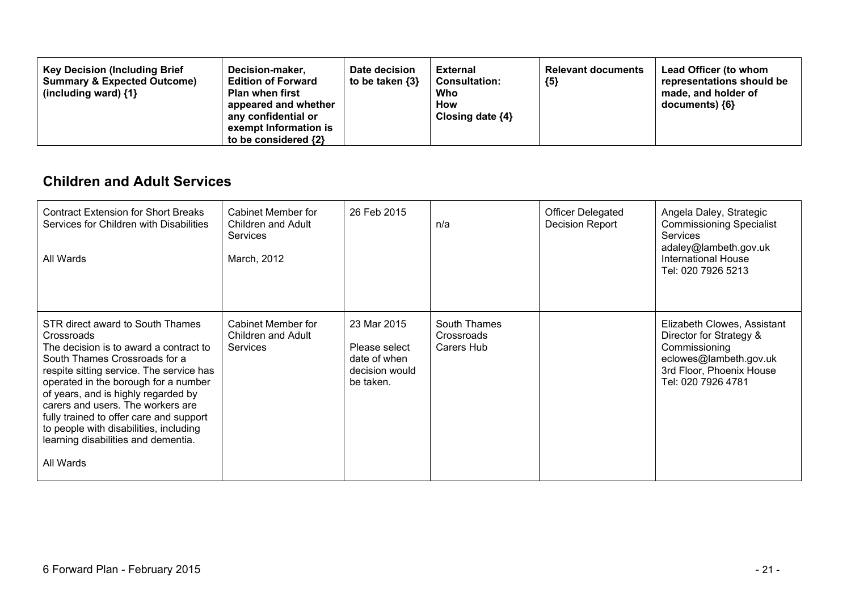#### **Children and Adult Services**

| <b>Contract Extension for Short Breaks</b><br>Services for Children with Disabilities<br>All Wards                                                                                                                                                                                                                                                                                                                                 | Cabinet Member for<br>Children and Adult<br><b>Services</b><br>March, 2012 | 26 Feb 2015                                                                 | n/a                                      | <b>Officer Delegated</b><br><b>Decision Report</b> | Angela Daley, Strategic<br><b>Commissioning Specialist</b><br><b>Services</b><br>adaley@lambeth.gov.uk<br>International House<br>Tel: 020 7926 5213 |
|------------------------------------------------------------------------------------------------------------------------------------------------------------------------------------------------------------------------------------------------------------------------------------------------------------------------------------------------------------------------------------------------------------------------------------|----------------------------------------------------------------------------|-----------------------------------------------------------------------------|------------------------------------------|----------------------------------------------------|-----------------------------------------------------------------------------------------------------------------------------------------------------|
| STR direct award to South Thames<br>Crossroads<br>The decision is to award a contract to<br>South Thames Crossroads for a<br>respite sitting service. The service has<br>operated in the borough for a number<br>of years, and is highly regarded by<br>carers and users. The workers are<br>fully trained to offer care and support<br>to people with disabilities, including<br>learning disabilities and dementia.<br>All Wards | Cabinet Member for<br>Children and Adult<br><b>Services</b>                | 23 Mar 2015<br>Please select<br>date of when<br>decision would<br>be taken. | South Thames<br>Crossroads<br>Carers Hub |                                                    | Elizabeth Clowes, Assistant<br>Director for Strategy &<br>Commissioning<br>eclowes@lambeth.gov.uk<br>3rd Floor, Phoenix House<br>Tel: 020 7926 4781 |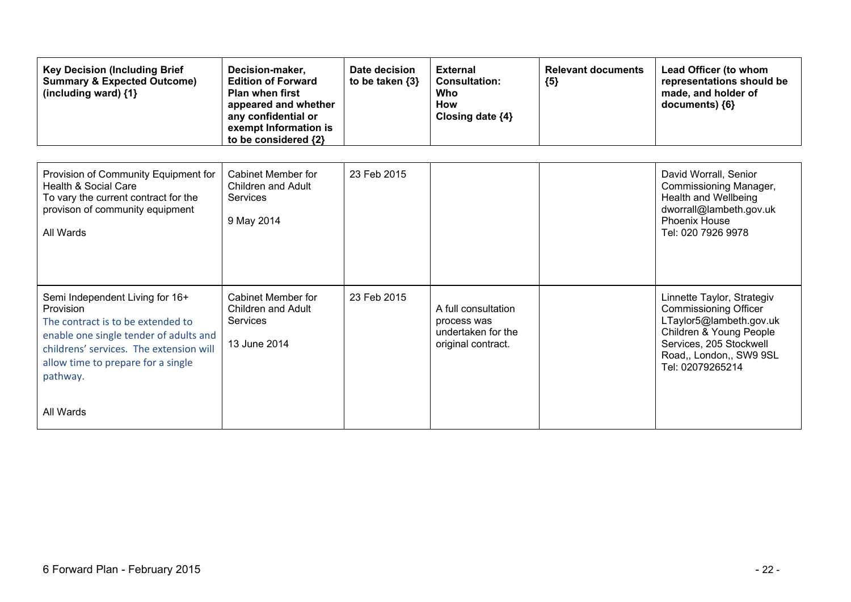| <b>Key Decision (Including Brief</b><br><b>Summary &amp; Expected Outcome)</b><br>(including ward) {1}                                                                                                                                | Decision-maker,<br><b>Edition of Forward</b><br><b>Plan when first</b><br>appeared and whether<br>any confidential or<br>exempt Information is<br>to be considered {2} | Date decision<br>to be taken $\{3\}$ | <b>External</b><br><b>Consultation:</b><br>Who<br>How<br>Closing date {4}      | <b>Relevant documents</b><br>${5}$ | Lead Officer (to whom<br>representations should be<br>made, and holder of<br>documents) ${6}$                                                                                              |
|---------------------------------------------------------------------------------------------------------------------------------------------------------------------------------------------------------------------------------------|------------------------------------------------------------------------------------------------------------------------------------------------------------------------|--------------------------------------|--------------------------------------------------------------------------------|------------------------------------|--------------------------------------------------------------------------------------------------------------------------------------------------------------------------------------------|
| Provision of Community Equipment for<br>Health & Social Care<br>To vary the current contract for the<br>provison of community equipment<br>All Wards                                                                                  | Cabinet Member for<br><b>Children and Adult</b><br>Services<br>9 May 2014                                                                                              | 23 Feb 2015                          |                                                                                |                                    | David Worrall, Senior<br>Commissioning Manager,<br>Health and Wellbeing<br>dworrall@lambeth.gov.uk<br><b>Phoenix House</b><br>Tel: 020 7926 9978                                           |
| Semi Independent Living for 16+<br>Provision<br>The contract is to be extended to<br>enable one single tender of adults and<br>childrens' services. The extension will<br>allow time to prepare for a single<br>pathway.<br>All Wards | Cabinet Member for<br>Children and Adult<br>Services<br>13 June 2014                                                                                                   | 23 Feb 2015                          | A full consultation<br>process was<br>undertaken for the<br>original contract. |                                    | Linnette Taylor, Strategiv<br><b>Commissioning Officer</b><br>LTaylor5@lambeth.gov.uk<br>Children & Young People<br>Services, 205 Stockwell<br>Road,, London,, SW9 9SL<br>Tel: 02079265214 |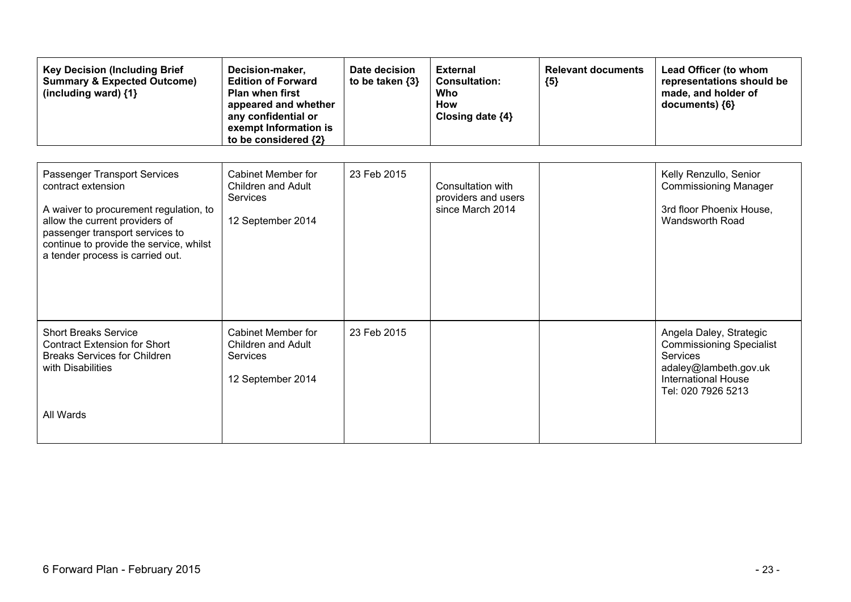| <b>Key Decision (Including Brief</b><br><b>Summary &amp; Expected Outcome)</b><br>(including ward) {1}                                                                                                                                           | Decision-maker,<br><b>Edition of Forward</b><br><b>Plan when first</b><br>appeared and whether<br>any confidential or<br>exempt Information is<br>to be considered {2} | Date decision<br>to be taken $\{3\}$ | <b>External</b><br><b>Consultation:</b><br>Who<br><b>How</b><br>Closing date {4} | <b>Relevant documents</b><br>${5}$ | Lead Officer (to whom<br>representations should be<br>made, and holder of<br>documents) {6}                                                                |
|--------------------------------------------------------------------------------------------------------------------------------------------------------------------------------------------------------------------------------------------------|------------------------------------------------------------------------------------------------------------------------------------------------------------------------|--------------------------------------|----------------------------------------------------------------------------------|------------------------------------|------------------------------------------------------------------------------------------------------------------------------------------------------------|
| Passenger Transport Services<br>contract extension<br>A waiver to procurement regulation, to<br>allow the current providers of<br>passenger transport services to<br>continue to provide the service, whilst<br>a tender process is carried out. | <b>Cabinet Member for</b><br>Children and Adult<br>Services<br>12 September 2014                                                                                       | 23 Feb 2015                          | Consultation with<br>providers and users<br>since March 2014                     |                                    | Kelly Renzullo, Senior<br><b>Commissioning Manager</b><br>3rd floor Phoenix House,<br>Wandsworth Road                                                      |
| <b>Short Breaks Service</b><br><b>Contract Extension for Short</b><br><b>Breaks Services for Children</b><br>with Disabilities<br>All Wards                                                                                                      | <b>Cabinet Member for</b><br><b>Children and Adult</b><br>Services<br>12 September 2014                                                                                | 23 Feb 2015                          |                                                                                  |                                    | Angela Daley, Strategic<br><b>Commissioning Specialist</b><br><b>Services</b><br>adaley@lambeth.gov.uk<br><b>International House</b><br>Tel: 020 7926 5213 |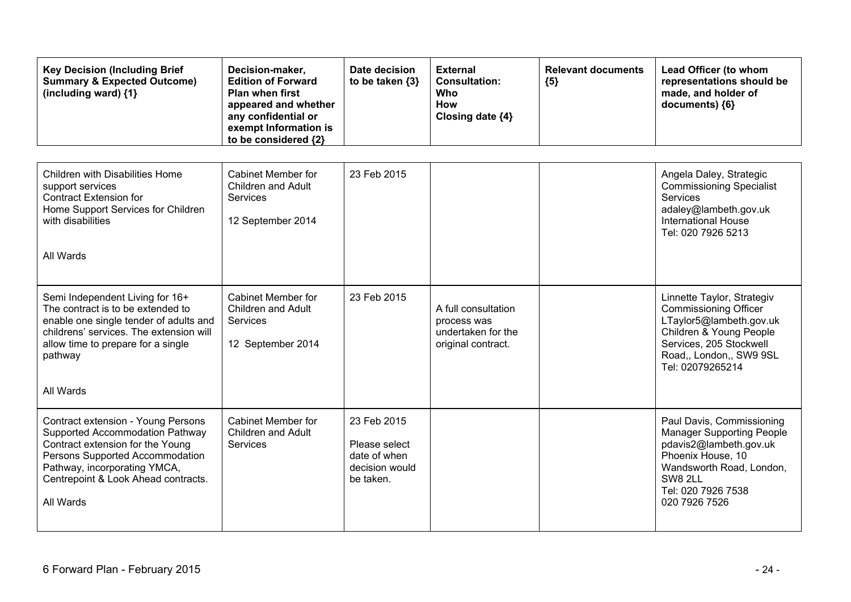| <b>Key Decision (Including Brief</b><br><b>Summary &amp; Expected Outcome)</b><br>(including ward) $\{1\}$                                                                                                                       | Decision-maker,<br><b>Edition of Forward</b><br><b>Plan when first</b><br>appeared and whether<br>any confidential or<br>exempt Information is<br>to be considered {2} | Date decision<br>to be taken {3}                                            | <b>External</b><br><b>Consultation:</b><br><b>Who</b><br><b>How</b><br>Closing date {4} | <b>Relevant documents</b><br>${5}$ | Lead Officer (to whom<br>representations should be<br>made, and holder of<br>documents) {6}                                                                                                |
|----------------------------------------------------------------------------------------------------------------------------------------------------------------------------------------------------------------------------------|------------------------------------------------------------------------------------------------------------------------------------------------------------------------|-----------------------------------------------------------------------------|-----------------------------------------------------------------------------------------|------------------------------------|--------------------------------------------------------------------------------------------------------------------------------------------------------------------------------------------|
| <b>Children with Disabilities Home</b><br>support services<br><b>Contract Extension for</b><br>Home Support Services for Children<br>with disabilities<br>All Wards                                                              | <b>Cabinet Member for</b><br><b>Children and Adult</b><br><b>Services</b><br>12 September 2014                                                                         | 23 Feb 2015                                                                 |                                                                                         |                                    | Angela Daley, Strategic<br><b>Commissioning Specialist</b><br>Services<br>adaley@lambeth.gov.uk<br><b>International House</b><br>Tel: 020 7926 5213                                        |
| Semi Independent Living for 16+<br>The contract is to be extended to<br>enable one single tender of adults and<br>childrens' services. The extension will<br>allow time to prepare for a single<br>pathway<br>All Wards          | <b>Cabinet Member for</b><br><b>Children and Adult</b><br><b>Services</b><br>12 September 2014                                                                         | 23 Feb 2015                                                                 | A full consultation<br>process was<br>undertaken for the<br>original contract.          |                                    | Linnette Taylor, Strategiv<br><b>Commissioning Officer</b><br>LTaylor5@lambeth.gov.uk<br>Children & Young People<br>Services, 205 Stockwell<br>Road,, London,, SW9 9SL<br>Tel: 02079265214 |
| Contract extension - Young Persons<br>Supported Accommodation Pathway<br>Contract extension for the Young<br>Persons Supported Accommodation<br>Pathway, incorporating YMCA,<br>Centrepoint & Look Ahead contracts.<br>All Wards | <b>Cabinet Member for</b><br><b>Children and Adult</b><br><b>Services</b>                                                                                              | 23 Feb 2015<br>Please select<br>date of when<br>decision would<br>be taken. |                                                                                         |                                    | Paul Davis, Commissioning<br><b>Manager Supporting People</b><br>pdavis2@lambeth.gov.uk<br>Phoenix House, 10<br>Wandsworth Road, London,<br>SW8 2LL<br>Tel: 020 7926 7538<br>020 7926 7526 |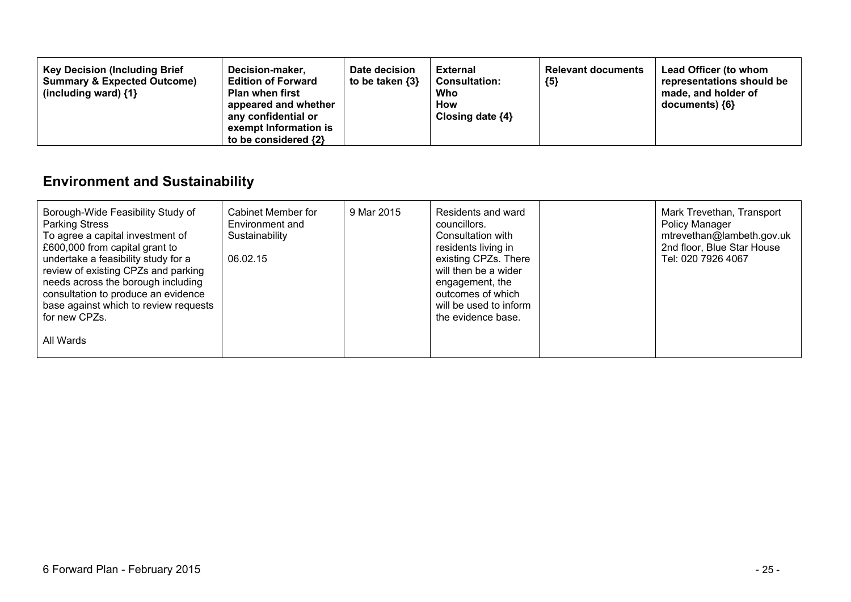| <b>Key Decision (Including Brief</b><br>Decision-maker,<br><b>Summary &amp; Expected Outcome)</b><br><b>Edition of Forward</b><br><b>Plan when first</b><br>(including ward) $\{1\}$<br>appeared and whether<br>any confidential or<br>exempt Information is<br>to be considered {2} | Date decision<br>to be taken $\{3\}$ | <b>External</b><br><b>Consultation:</b><br>Who<br><b>How</b><br>Closing date $\{4\}$ | <b>Relevant documents</b><br>${5}$ | Lead Officer (to whom<br>representations should be<br>made, and holder of<br>documents) {6} |
|--------------------------------------------------------------------------------------------------------------------------------------------------------------------------------------------------------------------------------------------------------------------------------------|--------------------------------------|--------------------------------------------------------------------------------------|------------------------------------|---------------------------------------------------------------------------------------------|
|--------------------------------------------------------------------------------------------------------------------------------------------------------------------------------------------------------------------------------------------------------------------------------------|--------------------------------------|--------------------------------------------------------------------------------------|------------------------------------|---------------------------------------------------------------------------------------------|

# **Environment and Sustainability**

| Borough-Wide Feasibility Study of<br><b>Parking Stress</b><br>To agree a capital investment of<br>£600,000 from capital grant to<br>undertake a feasibility study for a<br>review of existing CPZs and parking<br>needs across the borough including<br>consultation to produce an evidence<br>base against which to review requests<br>for new CPZs. | Cabinet Member for<br>Environment and<br>Sustainability<br>06.02.15 | 9 Mar 2015 | Residents and ward<br>councillors.<br>Consultation with<br>residents living in<br>existing CPZs. There<br>will then be a wider<br>engagement, the<br>outcomes of which<br>will be used to inform<br>the evidence base. | Mark Trevethan, Transport<br>Policy Manager<br>mtrevethan@lambeth.gov.uk<br>2nd floor, Blue Star House<br>Tel: 020 7926 4067 |
|-------------------------------------------------------------------------------------------------------------------------------------------------------------------------------------------------------------------------------------------------------------------------------------------------------------------------------------------------------|---------------------------------------------------------------------|------------|------------------------------------------------------------------------------------------------------------------------------------------------------------------------------------------------------------------------|------------------------------------------------------------------------------------------------------------------------------|
| All Wards                                                                                                                                                                                                                                                                                                                                             |                                                                     |            |                                                                                                                                                                                                                        |                                                                                                                              |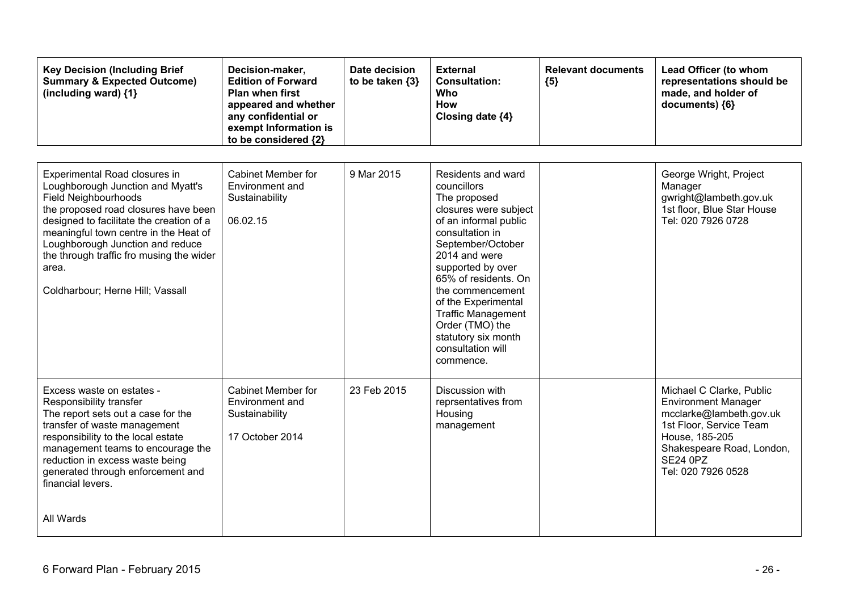| <b>Key Decision (Including Brief</b><br><b>Summary &amp; Expected Outcome)</b><br>(including ward) $\{1\}$                                                                                                                                                                                                                                           | Decision-maker,<br><b>Edition of Forward</b><br>Plan when first<br>appeared and whether<br>any confidential or<br>exempt Information is<br>to be considered {2} | Date decision<br>to be taken {3} | <b>External</b><br><b>Consultation:</b><br>Who<br><b>How</b><br>Closing date {4}                                                                                                                                                                                                                                                                              | <b>Relevant documents</b><br>${5}$ | Lead Officer (to whom<br>representations should be<br>made, and holder of<br>documents) ${6}$                                                                                                        |
|------------------------------------------------------------------------------------------------------------------------------------------------------------------------------------------------------------------------------------------------------------------------------------------------------------------------------------------------------|-----------------------------------------------------------------------------------------------------------------------------------------------------------------|----------------------------------|---------------------------------------------------------------------------------------------------------------------------------------------------------------------------------------------------------------------------------------------------------------------------------------------------------------------------------------------------------------|------------------------------------|------------------------------------------------------------------------------------------------------------------------------------------------------------------------------------------------------|
| Experimental Road closures in<br>Loughborough Junction and Myatt's<br>Field Neighbourhoods<br>the proposed road closures have been<br>designed to facilitate the creation of a<br>meaningful town centre in the Heat of<br>Loughborough Junction and reduce<br>the through traffic fro musing the wider<br>area.<br>Coldharbour; Herne Hill; Vassall | <b>Cabinet Member for</b><br>Environment and<br>Sustainability<br>06.02.15                                                                                      | 9 Mar 2015                       | Residents and ward<br>councillors<br>The proposed<br>closures were subject<br>of an informal public<br>consultation in<br>September/October<br>2014 and were<br>supported by over<br>65% of residents. On<br>the commencement<br>of the Experimental<br><b>Traffic Management</b><br>Order (TMO) the<br>statutory six month<br>consultation will<br>commence. |                                    | George Wright, Project<br>Manager<br>gwright@lambeth.gov.uk<br>1st floor, Blue Star House<br>Tel: 020 7926 0728                                                                                      |
| Excess waste on estates -<br>Responsibility transfer<br>The report sets out a case for the<br>transfer of waste management<br>responsibility to the local estate<br>management teams to encourage the<br>reduction in excess waste being<br>generated through enforcement and<br>financial levers.<br>All Wards                                      | <b>Cabinet Member for</b><br>Environment and<br>Sustainability<br>17 October 2014                                                                               | 23 Feb 2015                      | Discussion with<br>reprsentatives from<br>Housing<br>management                                                                                                                                                                                                                                                                                               |                                    | Michael C Clarke, Public<br><b>Environment Manager</b><br>mcclarke@lambeth.gov.uk<br>1st Floor, Service Team<br>House, 185-205<br>Shakespeare Road, London,<br><b>SE24 0PZ</b><br>Tel: 020 7926 0528 |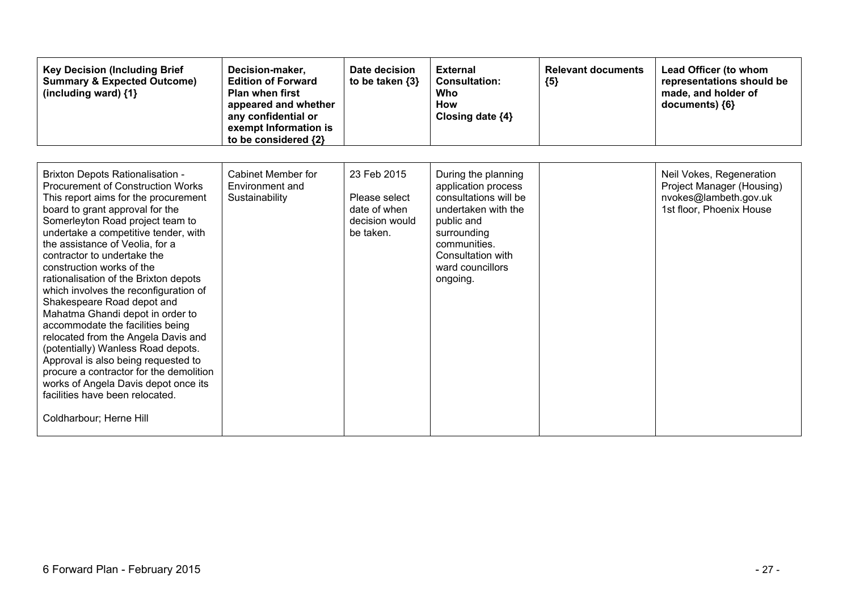| <b>Key Decision (Including Brief</b><br><b>Summary &amp; Expected Outcome)</b><br>(including ward) {1}                                                                                                                                                                                                                                                                                                                                                                                                                                                                                                                                                                                                                                                                                                 | Decision-maker,<br><b>Edition of Forward</b><br><b>Plan when first</b><br>appeared and whether<br>any confidential or<br>exempt Information is<br>to be considered {2} | Date decision<br>to be taken $\{3\}$                                        | <b>External</b><br><b>Consultation:</b><br>Who<br>How<br>Closing date {4}                                                                                                                    | <b>Relevant documents</b><br>${5}$ | <b>Lead Officer (to whom</b><br>representations should be<br>made, and holder of<br>documents) {6}         |
|--------------------------------------------------------------------------------------------------------------------------------------------------------------------------------------------------------------------------------------------------------------------------------------------------------------------------------------------------------------------------------------------------------------------------------------------------------------------------------------------------------------------------------------------------------------------------------------------------------------------------------------------------------------------------------------------------------------------------------------------------------------------------------------------------------|------------------------------------------------------------------------------------------------------------------------------------------------------------------------|-----------------------------------------------------------------------------|----------------------------------------------------------------------------------------------------------------------------------------------------------------------------------------------|------------------------------------|------------------------------------------------------------------------------------------------------------|
| <b>Brixton Depots Rationalisation -</b><br><b>Procurement of Construction Works</b><br>This report aims for the procurement<br>board to grant approval for the<br>Somerleyton Road project team to<br>undertake a competitive tender, with<br>the assistance of Veolia, for a<br>contractor to undertake the<br>construction works of the<br>rationalisation of the Brixton depots<br>which involves the reconfiguration of<br>Shakespeare Road depot and<br>Mahatma Ghandi depot in order to<br>accommodate the facilities being<br>relocated from the Angela Davis and<br>(potentially) Wanless Road depots.<br>Approval is also being requested to<br>procure a contractor for the demolition<br>works of Angela Davis depot once its<br>facilities have been relocated.<br>Coldharbour; Herne Hill | Cabinet Member for<br>Environment and<br>Sustainability                                                                                                                | 23 Feb 2015<br>Please select<br>date of when<br>decision would<br>be taken. | During the planning<br>application process<br>consultations will be<br>undertaken with the<br>public and<br>surrounding<br>communities.<br>Consultation with<br>ward councillors<br>ongoing. |                                    | Neil Vokes, Regeneration<br>Project Manager (Housing)<br>nvokes@lambeth.gov.uk<br>1st floor, Phoenix House |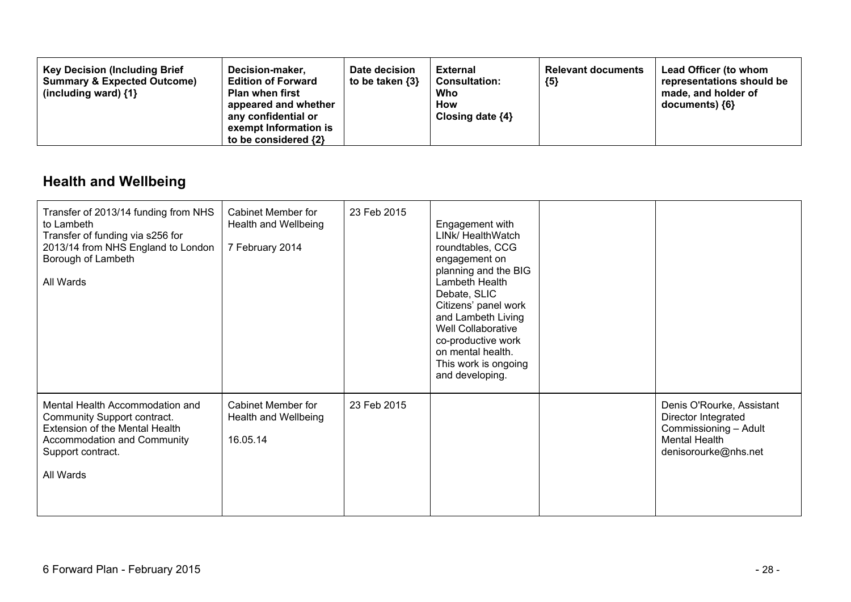| <b>Key Decision (Including Brief</b><br><b>Summary &amp; Expected Outcome)</b><br>(including ward) $\{1\}$ | Decision-maker,<br><b>Edition of Forward</b><br><b>Plan when first</b><br>appeared and whether<br>any confidential or<br>exempt Information is<br>to be considered {2} | Date decision<br>to be taken {3} | <b>External</b><br><b>Consultation:</b><br>Who<br>How<br>Closing date $\{4\}$ | <b>Relevant documents</b><br>${5}$ | Lead Officer (to whom<br>representations should be<br>made, and holder of<br>documents) {6} |
|------------------------------------------------------------------------------------------------------------|------------------------------------------------------------------------------------------------------------------------------------------------------------------------|----------------------------------|-------------------------------------------------------------------------------|------------------------------------|---------------------------------------------------------------------------------------------|
|------------------------------------------------------------------------------------------------------------|------------------------------------------------------------------------------------------------------------------------------------------------------------------------|----------------------------------|-------------------------------------------------------------------------------|------------------------------------|---------------------------------------------------------------------------------------------|

## **Health and Wellbeing**

| Transfer of 2013/14 funding from NHS<br>to Lambeth<br>Transfer of funding via s256 for<br>2013/14 from NHS England to London<br>Borough of Lambeth<br>All Wards   | Cabinet Member for<br>Health and Wellbeing<br>7 February 2014 | 23 Feb 2015 | Engagement with<br>LINk/ HealthWatch<br>roundtables, CCG<br>engagement on<br>planning and the BIG<br>Lambeth Health<br>Debate, SLIC<br>Citizens' panel work<br>and Lambeth Living<br>Well Collaborative<br>co-productive work<br>on mental health.<br>This work is ongoing<br>and developing. |                                                                                                                           |
|-------------------------------------------------------------------------------------------------------------------------------------------------------------------|---------------------------------------------------------------|-------------|-----------------------------------------------------------------------------------------------------------------------------------------------------------------------------------------------------------------------------------------------------------------------------------------------|---------------------------------------------------------------------------------------------------------------------------|
| Mental Health Accommodation and<br>Community Support contract.<br>Extension of the Mental Health<br>Accommodation and Community<br>Support contract.<br>All Wards | <b>Cabinet Member for</b><br>Health and Wellbeing<br>16.05.14 | 23 Feb 2015 |                                                                                                                                                                                                                                                                                               | Denis O'Rourke, Assistant<br>Director Integrated<br>Commissioning - Adult<br><b>Mental Health</b><br>denisorourke@nhs.net |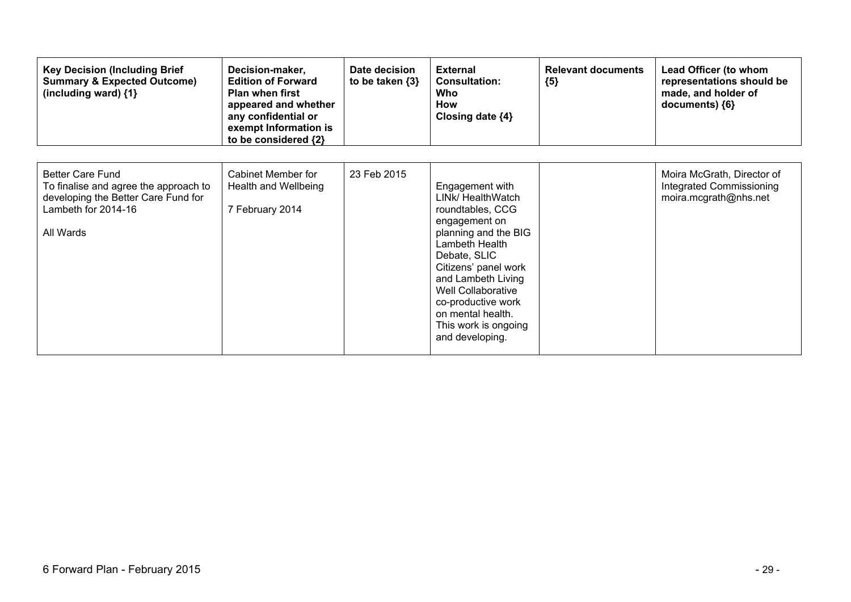| <b>Key Decision (Including Brief</b><br><b>Summary &amp; Expected Outcome)</b><br>(including ward) {1}                                      | Decision-maker,<br><b>Edition of Forward</b><br><b>Plan when first</b><br>appeared and whether<br>any confidential or<br>exempt Information is<br>to be considered {2} | Date decision<br>to be taken $\{3\}$ | <b>External</b><br><b>Consultation:</b><br>Who<br>How<br>Closing date {4}                                                                                                                                                                                                                     | <b>Relevant documents</b><br>${5}$ | Lead Officer (to whom<br>representations should be<br>made, and holder of<br>documents) ${6}$ |
|---------------------------------------------------------------------------------------------------------------------------------------------|------------------------------------------------------------------------------------------------------------------------------------------------------------------------|--------------------------------------|-----------------------------------------------------------------------------------------------------------------------------------------------------------------------------------------------------------------------------------------------------------------------------------------------|------------------------------------|-----------------------------------------------------------------------------------------------|
| <b>Better Care Fund</b><br>To finalise and agree the approach to<br>developing the Better Care Fund for<br>Lambeth for 2014-16<br>All Wards | Cabinet Member for<br>Health and Wellbeing<br>7 February 2014                                                                                                          | 23 Feb 2015                          | Engagement with<br>LINk/ HealthWatch<br>roundtables, CCG<br>engagement on<br>planning and the BIG<br>Lambeth Health<br>Debate, SLIC<br>Citizens' panel work<br>and Lambeth Living<br>Well Collaborative<br>co-productive work<br>on mental health.<br>This work is ongoing<br>and developing. |                                    | Moira McGrath, Director of<br><b>Integrated Commissioning</b><br>moira.mcgrath@nhs.net        |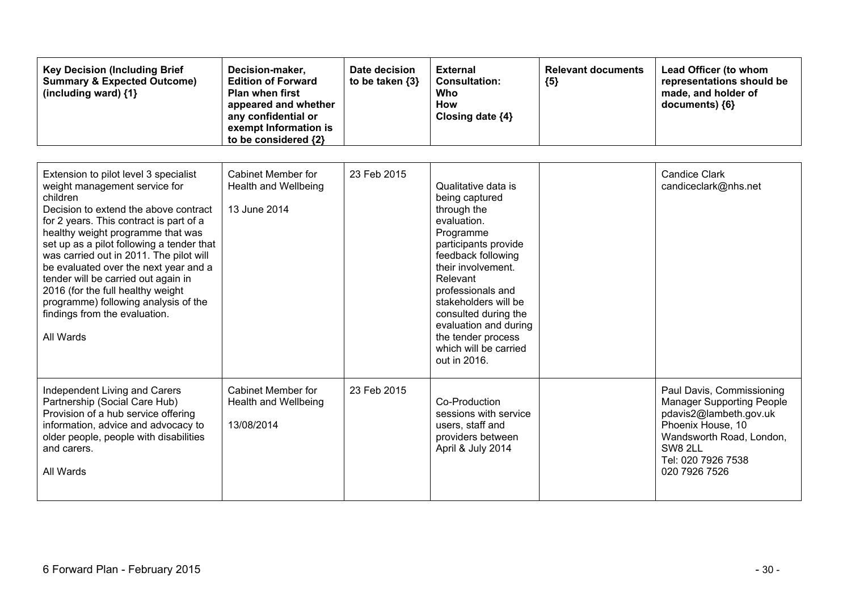| <b>Key Decision (Including Brief</b><br><b>Summary &amp; Expected Outcome)</b><br>(including ward) $\{1\}$                                                                                                                                                                                                                                                                                                                                                                                                     | Decision-maker,<br><b>Edition of Forward</b><br><b>Plan when first</b><br>appeared and whether<br>any confidential or<br>exempt Information is<br>to be considered {2} | Date decision<br>to be taken $\{3\}$ | <b>External</b><br><b>Consultation:</b><br>Who<br><b>How</b><br>Closing date {4}                                                                                                                                                                                                                                              | <b>Relevant documents</b><br>${5}$ | Lead Officer (to whom<br>representations should be<br>made, and holder of<br>documents) ${6}$                                                                                              |
|----------------------------------------------------------------------------------------------------------------------------------------------------------------------------------------------------------------------------------------------------------------------------------------------------------------------------------------------------------------------------------------------------------------------------------------------------------------------------------------------------------------|------------------------------------------------------------------------------------------------------------------------------------------------------------------------|--------------------------------------|-------------------------------------------------------------------------------------------------------------------------------------------------------------------------------------------------------------------------------------------------------------------------------------------------------------------------------|------------------------------------|--------------------------------------------------------------------------------------------------------------------------------------------------------------------------------------------|
| Extension to pilot level 3 specialist<br>weight management service for<br>children<br>Decision to extend the above contract<br>for 2 years. This contract is part of a<br>healthy weight programme that was<br>set up as a pilot following a tender that<br>was carried out in 2011. The pilot will<br>be evaluated over the next year and a<br>tender will be carried out again in<br>2016 (for the full healthy weight<br>programme) following analysis of the<br>findings from the evaluation.<br>All Wards | <b>Cabinet Member for</b><br>Health and Wellbeing<br>13 June 2014                                                                                                      | 23 Feb 2015                          | Qualitative data is<br>being captured<br>through the<br>evaluation.<br>Programme<br>participants provide<br>feedback following<br>their involvement.<br>Relevant<br>professionals and<br>stakeholders will be<br>consulted during the<br>evaluation and during<br>the tender process<br>which will be carried<br>out in 2016. |                                    | <b>Candice Clark</b><br>candiceclark@nhs.net                                                                                                                                               |
| Independent Living and Carers<br>Partnership (Social Care Hub)<br>Provision of a hub service offering<br>information, advice and advocacy to<br>older people, people with disabilities<br>and carers.<br>All Wards                                                                                                                                                                                                                                                                                             | Cabinet Member for<br>Health and Wellbeing<br>13/08/2014                                                                                                               | 23 Feb 2015                          | Co-Production<br>sessions with service<br>users, staff and<br>providers between<br>April & July 2014                                                                                                                                                                                                                          |                                    | Paul Davis, Commissioning<br><b>Manager Supporting People</b><br>pdavis2@lambeth.gov.uk<br>Phoenix House, 10<br>Wandsworth Road, London,<br>SW8 2LL<br>Tel: 020 7926 7538<br>020 7926 7526 |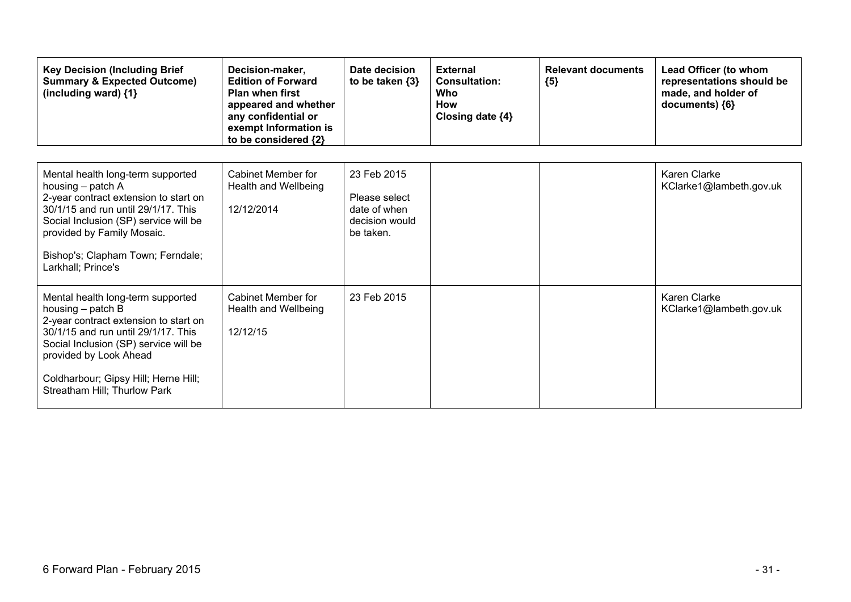| <b>Key Decision (Including Brief</b><br><b>Summary &amp; Expected Outcome)</b><br>(including ward) {1}                                                                                                                                                                              | Decision-maker,<br><b>Edition of Forward</b><br><b>Plan when first</b><br>appeared and whether<br>any confidential or<br>exempt Information is<br>to be considered {2} | Date decision<br>to be taken $\{3\}$                                        | <b>External</b><br><b>Consultation:</b><br>Who<br>How<br>Closing date {4} | <b>Relevant documents</b><br>${5}$ | Lead Officer (to whom<br>representations should be<br>made, and holder of<br>documents) {6} |
|-------------------------------------------------------------------------------------------------------------------------------------------------------------------------------------------------------------------------------------------------------------------------------------|------------------------------------------------------------------------------------------------------------------------------------------------------------------------|-----------------------------------------------------------------------------|---------------------------------------------------------------------------|------------------------------------|---------------------------------------------------------------------------------------------|
| Mental health long-term supported<br>housing – patch A<br>2-year contract extension to start on<br>30/1/15 and run until 29/1/17. This<br>Social Inclusion (SP) service will be<br>provided by Family Mosaic.<br>Bishop's; Clapham Town; Ferndale;<br>Larkhall; Prince's            | Cabinet Member for<br>Health and Wellbeing<br>12/12/2014                                                                                                               | 23 Feb 2015<br>Please select<br>date of when<br>decision would<br>be taken. |                                                                           |                                    | Karen Clarke<br>KClarke1@lambeth.gov.uk                                                     |
| Mental health long-term supported<br>housing $-$ patch B<br>2-year contract extension to start on<br>30/1/15 and run until 29/1/17. This<br>Social Inclusion (SP) service will be<br>provided by Look Ahead<br>Coldharbour; Gipsy Hill; Herne Hill;<br>Streatham Hill; Thurlow Park | Cabinet Member for<br>Health and Wellbeing<br>12/12/15                                                                                                                 | 23 Feb 2015                                                                 |                                                                           |                                    | Karen Clarke<br>KClarke1@lambeth.gov.uk                                                     |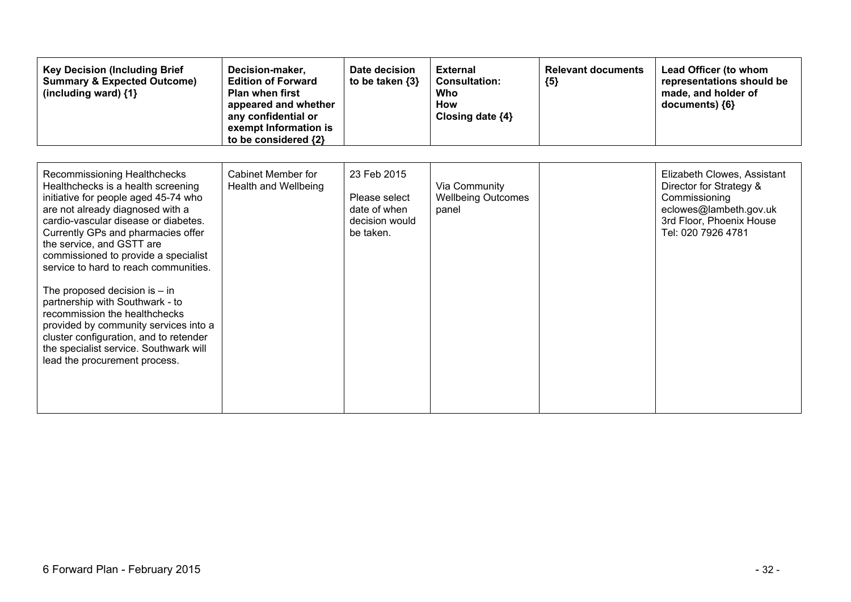| <b>Key Decision (Including Brief</b><br><b>Summary &amp; Expected Outcome)</b><br>(including ward) {1}                                                                                                                                                                                                                                                                                                                                                                                                                                                                                                          | Decision-maker,<br><b>Edition of Forward</b><br><b>Plan when first</b><br>appeared and whether<br>any confidential or<br>exempt Information is<br>to be considered {2} | Date decision<br>to be taken {3}                                            | <b>External</b><br><b>Consultation:</b><br>Who<br>How<br>Closing date {4} | <b>Relevant documents</b><br>${5}$ | Lead Officer (to whom<br>representations should be<br>made, and holder of<br>documents) ${6}$                                                       |
|-----------------------------------------------------------------------------------------------------------------------------------------------------------------------------------------------------------------------------------------------------------------------------------------------------------------------------------------------------------------------------------------------------------------------------------------------------------------------------------------------------------------------------------------------------------------------------------------------------------------|------------------------------------------------------------------------------------------------------------------------------------------------------------------------|-----------------------------------------------------------------------------|---------------------------------------------------------------------------|------------------------------------|-----------------------------------------------------------------------------------------------------------------------------------------------------|
| Recommissioning Healthchecks<br>Healthchecks is a health screening<br>initiative for people aged 45-74 who<br>are not already diagnosed with a<br>cardio-vascular disease or diabetes.<br>Currently GPs and pharmacies offer<br>the service, and GSTT are<br>commissioned to provide a specialist<br>service to hard to reach communities.<br>The proposed decision is $-$ in<br>partnership with Southwark - to<br>recommission the healthchecks<br>provided by community services into a<br>cluster configuration, and to retender<br>the specialist service. Southwark will<br>lead the procurement process. | Cabinet Member for<br>Health and Wellbeing                                                                                                                             | 23 Feb 2015<br>Please select<br>date of when<br>decision would<br>be taken. | Via Community<br><b>Wellbeing Outcomes</b><br>panel                       |                                    | Elizabeth Clowes, Assistant<br>Director for Strategy &<br>Commissioning<br>eclowes@lambeth.gov.uk<br>3rd Floor, Phoenix House<br>Tel: 020 7926 4781 |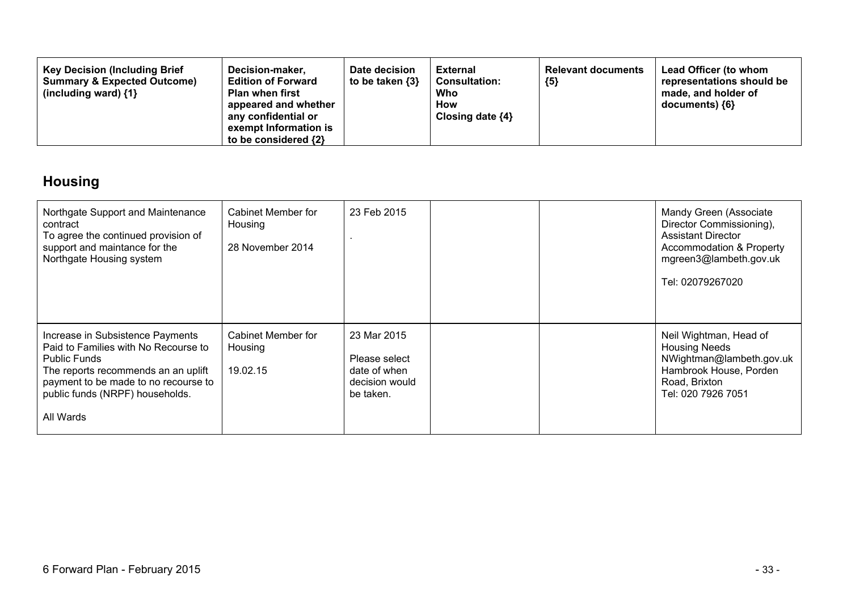| <b>Key Decision (Including Brief</b><br><b>Summary &amp; Expected Outcome)</b><br>(including ward) $\{1\}$ | Decision-maker,<br>Date decision<br>to be taken $\{3\}$<br><b>Edition of Forward</b><br><b>Plan when first</b><br>appeared and whether<br>any confidential or<br>exempt Information is<br>to be considered $\{2\}$ | <b>External</b><br><b>Consultation:</b><br><b>Who</b><br>How<br>Closing date $\{4\}$ | <b>Relevant documents</b><br>${5}$ | <b>Lead Officer (to whom</b><br>representations should be<br>made, and holder of<br>$documents)$ {6} |
|------------------------------------------------------------------------------------------------------------|--------------------------------------------------------------------------------------------------------------------------------------------------------------------------------------------------------------------|--------------------------------------------------------------------------------------|------------------------------------|------------------------------------------------------------------------------------------------------|
|------------------------------------------------------------------------------------------------------------|--------------------------------------------------------------------------------------------------------------------------------------------------------------------------------------------------------------------|--------------------------------------------------------------------------------------|------------------------------------|------------------------------------------------------------------------------------------------------|

## **Housing**

| Northgate Support and Maintenance<br>contract<br>To agree the continued provision of<br>support and maintance for the<br>Northgate Housing system                                                                              | Cabinet Member for<br>Housing<br>28 November 2014 | 23 Feb 2015                                                                 |  | Mandy Green (Associate<br>Director Commissioning),<br><b>Assistant Director</b><br><b>Accommodation &amp; Property</b><br>mgreen3@lambeth.gov.uk<br>Tel: 02079267020 |
|--------------------------------------------------------------------------------------------------------------------------------------------------------------------------------------------------------------------------------|---------------------------------------------------|-----------------------------------------------------------------------------|--|----------------------------------------------------------------------------------------------------------------------------------------------------------------------|
| Increase in Subsistence Payments<br>Paid to Families with No Recourse to<br><b>Public Funds</b><br>The reports recommends an an uplift<br>payment to be made to no recourse to<br>public funds (NRPF) households.<br>All Wards | Cabinet Member for<br>Housing<br>19.02.15         | 23 Mar 2015<br>Please select<br>date of when<br>decision would<br>be taken. |  | Neil Wightman, Head of<br><b>Housing Needs</b><br>NWightman@lambeth.gov.uk<br>Hambrook House, Porden<br>Road, Brixton<br>Tel: 020 7926 7051                          |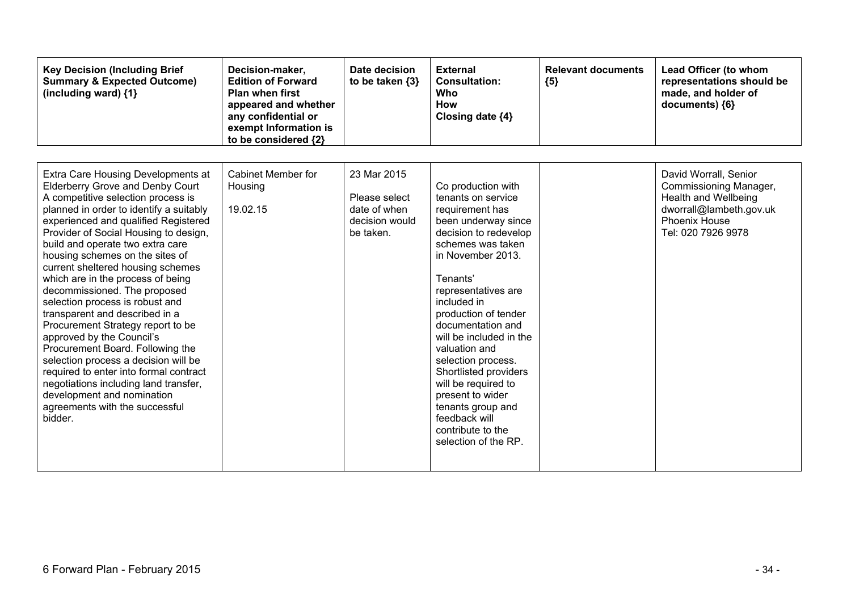| <b>Key Decision (Including Brief</b><br><b>Summary &amp; Expected Outcome)</b><br>(including ward) {1}                                                                                                                                                                                                                                                                                                                                                                                                                                                                                                                                                                                                                                                                                                            | Decision-maker,<br><b>Edition of Forward</b><br><b>Plan when first</b><br>appeared and whether<br>any confidential or<br>exempt Information is<br>to be considered {2} | Date decision<br>to be taken $\{3\}$                                        | <b>External</b><br><b>Consultation:</b><br>Who<br>How<br>Closing date {4}                                                                                                                                                                                                                                                                                                                                                                                                     | <b>Relevant documents</b><br>${5}$ | Lead Officer (to whom<br>representations should be<br>made, and holder of<br>documents) {6}                                                      |
|-------------------------------------------------------------------------------------------------------------------------------------------------------------------------------------------------------------------------------------------------------------------------------------------------------------------------------------------------------------------------------------------------------------------------------------------------------------------------------------------------------------------------------------------------------------------------------------------------------------------------------------------------------------------------------------------------------------------------------------------------------------------------------------------------------------------|------------------------------------------------------------------------------------------------------------------------------------------------------------------------|-----------------------------------------------------------------------------|-------------------------------------------------------------------------------------------------------------------------------------------------------------------------------------------------------------------------------------------------------------------------------------------------------------------------------------------------------------------------------------------------------------------------------------------------------------------------------|------------------------------------|--------------------------------------------------------------------------------------------------------------------------------------------------|
| Extra Care Housing Developments at<br><b>Elderberry Grove and Denby Court</b><br>A competitive selection process is<br>planned in order to identify a suitably<br>experienced and qualified Registered<br>Provider of Social Housing to design,<br>build and operate two extra care<br>housing schemes on the sites of<br>current sheltered housing schemes<br>which are in the process of being<br>decommissioned. The proposed<br>selection process is robust and<br>transparent and described in a<br>Procurement Strategy report to be<br>approved by the Council's<br>Procurement Board. Following the<br>selection process a decision will be<br>required to enter into formal contract<br>negotiations including land transfer,<br>development and nomination<br>agreements with the successful<br>bidder. | Cabinet Member for<br>Housing<br>19.02.15                                                                                                                              | 23 Mar 2015<br>Please select<br>date of when<br>decision would<br>be taken. | Co production with<br>tenants on service<br>requirement has<br>been underway since<br>decision to redevelop<br>schemes was taken<br>in November 2013.<br>Tenants'<br>representatives are<br>included in<br>production of tender<br>documentation and<br>will be included in the<br>valuation and<br>selection process.<br>Shortlisted providers<br>will be required to<br>present to wider<br>tenants group and<br>feedback will<br>contribute to the<br>selection of the RP. |                                    | David Worrall, Senior<br>Commissioning Manager,<br><b>Health and Wellbeing</b><br>dworrall@lambeth.gov.uk<br>Phoenix House<br>Tel: 020 7926 9978 |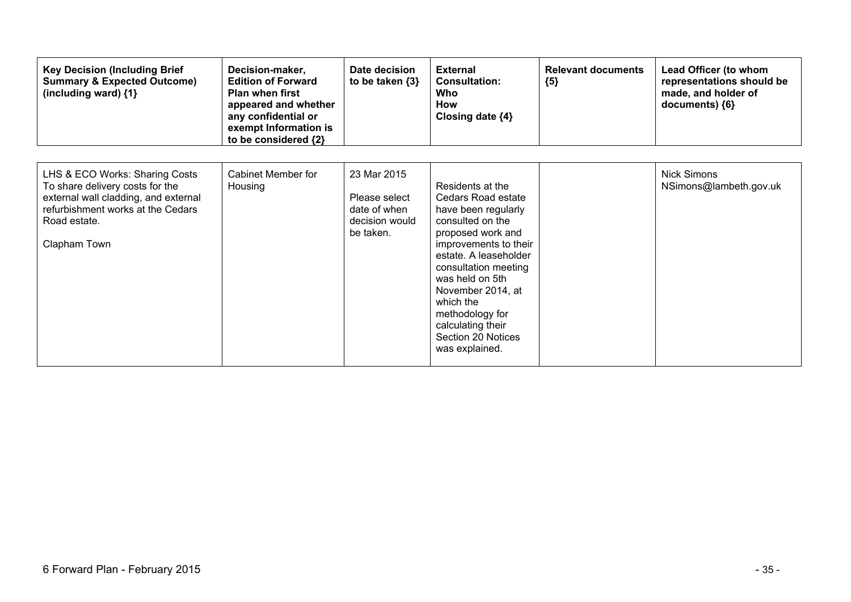| <b>Key Decision (Including Brief</b><br><b>Summary &amp; Expected Outcome)</b><br>(including ward) {1}                                                                         | Decision-maker,<br><b>Edition of Forward</b><br><b>Plan when first</b><br>appeared and whether<br>any confidential or<br>exempt Information is<br>to be considered {2} | Date decision<br>to be taken $\{3\}$                                        | <b>External</b><br><b>Consultation:</b><br>Who<br><b>How</b><br>Closing date ${4}$                                                                                                                                                                                                                                    | <b>Relevant documents</b><br>${5}$ | Lead Officer (to whom<br>representations should be<br>made, and holder of<br>documents) {6} |
|--------------------------------------------------------------------------------------------------------------------------------------------------------------------------------|------------------------------------------------------------------------------------------------------------------------------------------------------------------------|-----------------------------------------------------------------------------|-----------------------------------------------------------------------------------------------------------------------------------------------------------------------------------------------------------------------------------------------------------------------------------------------------------------------|------------------------------------|---------------------------------------------------------------------------------------------|
| LHS & ECO Works: Sharing Costs<br>To share delivery costs for the<br>external wall cladding, and external<br>refurbishment works at the Cedars<br>Road estate.<br>Clapham Town | Cabinet Member for<br>Housing                                                                                                                                          | 23 Mar 2015<br>Please select<br>date of when<br>decision would<br>be taken. | Residents at the<br>Cedars Road estate<br>have been regularly<br>consulted on the<br>proposed work and<br>improvements to their<br>estate. A leaseholder<br>consultation meeting<br>was held on 5th<br>November 2014, at<br>which the<br>methodology for<br>calculating their<br>Section 20 Notices<br>was explained. |                                    | <b>Nick Simons</b><br>NSimons@lambeth.gov.uk                                                |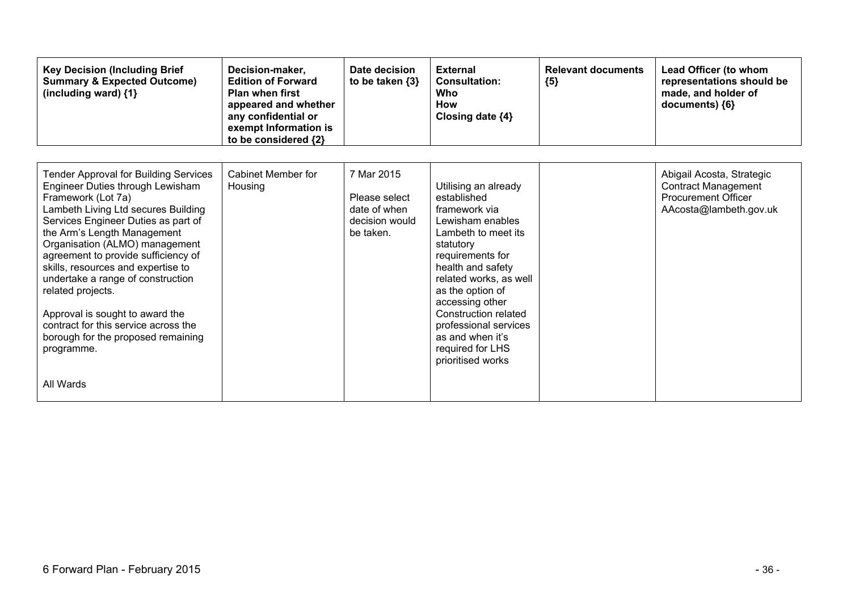| <b>Key Decision (Including Brief</b><br><b>Summary &amp; Expected Outcome)</b><br>(including ward) {1}                                                                                                                                                                                                                                                                                                                                                                                                                                   | Decision-maker,<br><b>Edition of Forward</b><br><b>Plan when first</b><br>appeared and whether<br>any confidential or<br>exempt Information is<br>to be considered {2} | Date decision<br>to be taken $\{3\}$                                       | <b>External</b><br><b>Consultation:</b><br>Who<br><b>How</b><br>Closing date $\{4\}$                                                                                                                                                                                                                                                 | <b>Relevant documents</b><br>${5}$ | Lead Officer (to whom<br>representations should be<br>made, and holder of<br>documents) {6}                     |
|------------------------------------------------------------------------------------------------------------------------------------------------------------------------------------------------------------------------------------------------------------------------------------------------------------------------------------------------------------------------------------------------------------------------------------------------------------------------------------------------------------------------------------------|------------------------------------------------------------------------------------------------------------------------------------------------------------------------|----------------------------------------------------------------------------|--------------------------------------------------------------------------------------------------------------------------------------------------------------------------------------------------------------------------------------------------------------------------------------------------------------------------------------|------------------------------------|-----------------------------------------------------------------------------------------------------------------|
| <b>Tender Approval for Building Services</b><br>Engineer Duties through Lewisham<br>Framework (Lot 7a)<br>Lambeth Living Ltd secures Building<br>Services Engineer Duties as part of<br>the Arm's Length Management<br>Organisation (ALMO) management<br>agreement to provide sufficiency of<br>skills, resources and expertise to<br>undertake a range of construction<br>related projects.<br>Approval is sought to award the<br>contract for this service across the<br>borough for the proposed remaining<br>programme.<br>All Wards | Cabinet Member for<br>Housing                                                                                                                                          | 7 Mar 2015<br>Please select<br>date of when<br>decision would<br>be taken. | Utilising an already<br>established<br>framework via<br>Lewisham enables<br>Lambeth to meet its<br>statutory<br>requirements for<br>health and safety<br>related works, as well<br>as the option of<br>accessing other<br>Construction related<br>professional services<br>as and when it's<br>required for LHS<br>prioritised works |                                    | Abigail Acosta, Strategic<br><b>Contract Management</b><br><b>Procurement Officer</b><br>AAcosta@lambeth.gov.uk |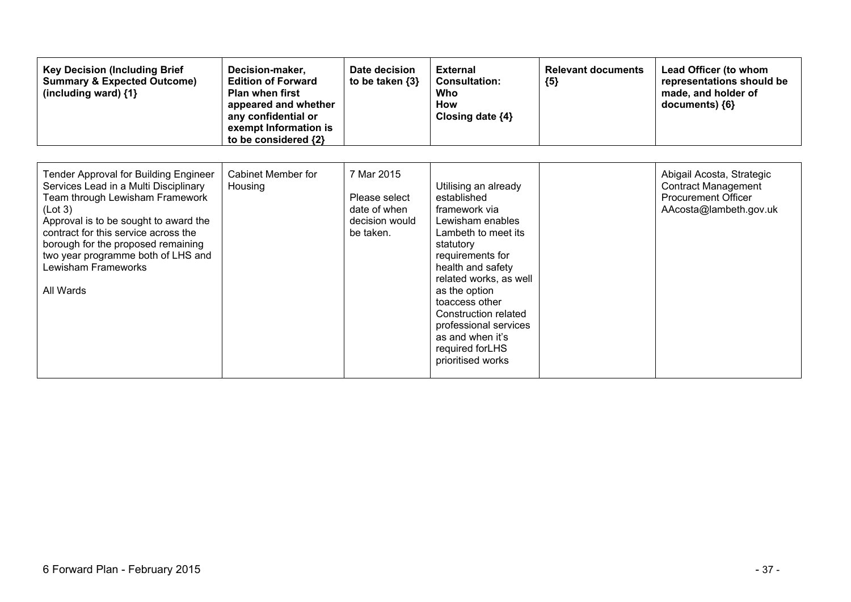| <b>Key Decision (Including Brief</b><br><b>Summary &amp; Expected Outcome)</b><br>(including ward) {1}                                                                                                                                                                                                                               | Decision-maker,<br><b>Edition of Forward</b><br><b>Plan when first</b><br>appeared and whether<br>any confidential or<br>exempt Information is<br>to be considered {2} | Date decision<br>to be taken $\{3\}$                                       | <b>External</b><br><b>Consultation:</b><br>Who<br>How<br>Closing date ${4}$                                                                                                                                                                                                                                                     | <b>Relevant documents</b><br>${5}$ | Lead Officer (to whom<br>representations should be<br>made, and holder of<br>documents) {6}                     |
|--------------------------------------------------------------------------------------------------------------------------------------------------------------------------------------------------------------------------------------------------------------------------------------------------------------------------------------|------------------------------------------------------------------------------------------------------------------------------------------------------------------------|----------------------------------------------------------------------------|---------------------------------------------------------------------------------------------------------------------------------------------------------------------------------------------------------------------------------------------------------------------------------------------------------------------------------|------------------------------------|-----------------------------------------------------------------------------------------------------------------|
| <b>Tender Approval for Building Engineer</b><br>Services Lead in a Multi Disciplinary<br>Team through Lewisham Framework<br>(Lot 3)<br>Approval is to be sought to award the<br>contract for this service across the<br>borough for the proposed remaining<br>two year programme both of LHS and<br>Lewisham Frameworks<br>All Wards | Cabinet Member for<br>Housing                                                                                                                                          | 7 Mar 2015<br>Please select<br>date of when<br>decision would<br>be taken. | Utilising an already<br>established<br>framework via<br>Lewisham enables<br>Lambeth to meet its<br>statutory<br>requirements for<br>health and safety<br>related works, as well<br>as the option<br>toaccess other<br>Construction related<br>professional services<br>as and when it's<br>required forLHS<br>prioritised works |                                    | Abigail Acosta, Strategic<br><b>Contract Management</b><br><b>Procurement Officer</b><br>AAcosta@lambeth.gov.uk |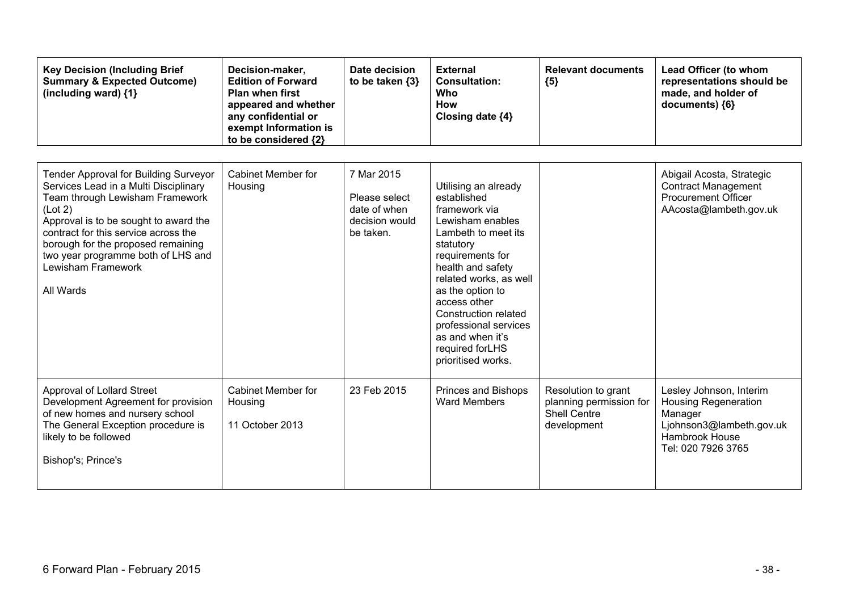| <b>Key Decision (Including Brief</b><br><b>Summary &amp; Expected Outcome)</b><br>(including ward) {1}                                                                                                                                                                                                                              | Decision-maker,<br><b>Edition of Forward</b><br><b>Plan when first</b><br>appeared and whether<br>any confidential or<br>exempt Information is<br>to be considered {2} | Date decision<br>to be taken {3}                                           | <b>External</b><br><b>Consultation:</b><br>Who<br><b>How</b><br>Closing date {4}                                                                                                                                                                                                                                                  | <b>Relevant documents</b><br>${5}$                                                   | Lead Officer (to whom<br>representations should be<br>made, and holder of<br>documents) {6}                                           |
|-------------------------------------------------------------------------------------------------------------------------------------------------------------------------------------------------------------------------------------------------------------------------------------------------------------------------------------|------------------------------------------------------------------------------------------------------------------------------------------------------------------------|----------------------------------------------------------------------------|-----------------------------------------------------------------------------------------------------------------------------------------------------------------------------------------------------------------------------------------------------------------------------------------------------------------------------------|--------------------------------------------------------------------------------------|---------------------------------------------------------------------------------------------------------------------------------------|
| <b>Tender Approval for Building Surveyor</b><br>Services Lead in a Multi Disciplinary<br>Team through Lewisham Framework<br>(Lot 2)<br>Approval is to be sought to award the<br>contract for this service across the<br>borough for the proposed remaining<br>two year programme both of LHS and<br>Lewisham Framework<br>All Wards | <b>Cabinet Member for</b><br>Housing                                                                                                                                   | 7 Mar 2015<br>Please select<br>date of when<br>decision would<br>be taken. | Utilising an already<br>established<br>framework via<br>Lewisham enables<br>Lambeth to meet its<br>statutory<br>requirements for<br>health and safety<br>related works, as well<br>as the option to<br>access other<br>Construction related<br>professional services<br>as and when it's<br>required forLHS<br>prioritised works. |                                                                                      | Abigail Acosta, Strategic<br><b>Contract Management</b><br><b>Procurement Officer</b><br>AAcosta@lambeth.gov.uk                       |
| Approval of Lollard Street<br>Development Agreement for provision<br>of new homes and nursery school<br>The General Exception procedure is<br>likely to be followed<br>Bishop's; Prince's                                                                                                                                           | <b>Cabinet Member for</b><br>Housing<br>11 October 2013                                                                                                                | 23 Feb 2015                                                                | Princes and Bishops<br><b>Ward Members</b>                                                                                                                                                                                                                                                                                        | Resolution to grant<br>planning permission for<br><b>Shell Centre</b><br>development | Lesley Johnson, Interim<br><b>Housing Regeneration</b><br>Manager<br>Ljohnson3@lambeth.gov.uk<br>Hambrook House<br>Tel: 020 7926 3765 |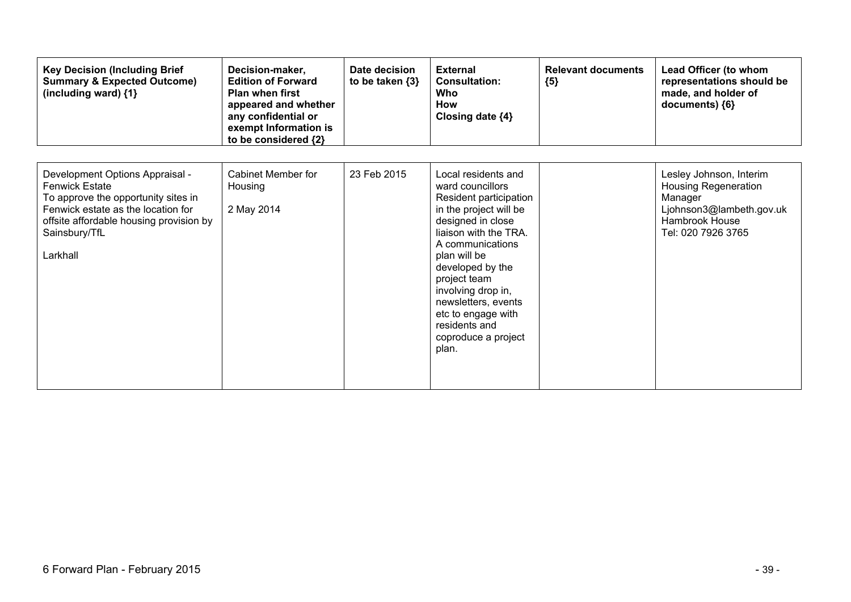| <b>Key Decision (Including Brief</b><br><b>Summary &amp; Expected Outcome)</b><br>(including ward) {1}                                                                                                        | Decision-maker,<br><b>Edition of Forward</b><br><b>Plan when first</b><br>appeared and whether<br>any confidential or<br>exempt Information is<br>to be considered {2} | Date decision<br>to be taken $\{3\}$ | <b>External</b><br><b>Consultation:</b><br>Who<br><b>How</b><br>Closing date {4}                                                                                                                                                                                                                                                      | <b>Relevant documents</b><br>${5}$ | Lead Officer (to whom<br>representations should be<br>made, and holder of<br>documents) {6}                                           |
|---------------------------------------------------------------------------------------------------------------------------------------------------------------------------------------------------------------|------------------------------------------------------------------------------------------------------------------------------------------------------------------------|--------------------------------------|---------------------------------------------------------------------------------------------------------------------------------------------------------------------------------------------------------------------------------------------------------------------------------------------------------------------------------------|------------------------------------|---------------------------------------------------------------------------------------------------------------------------------------|
| Development Options Appraisal -<br><b>Fenwick Estate</b><br>To approve the opportunity sites in<br>Fenwick estate as the location for<br>offsite affordable housing provision by<br>Sainsbury/TfL<br>Larkhall | Cabinet Member for<br>Housing<br>2 May 2014                                                                                                                            | 23 Feb 2015                          | Local residents and<br>ward councillors<br>Resident participation<br>in the project will be<br>designed in close<br>liaison with the TRA.<br>A communications<br>plan will be<br>developed by the<br>project team<br>involving drop in,<br>newsletters, events<br>etc to engage with<br>residents and<br>coproduce a project<br>plan. |                                    | Lesley Johnson, Interim<br><b>Housing Regeneration</b><br>Manager<br>Ljohnson3@lambeth.gov.uk<br>Hambrook House<br>Tel: 020 7926 3765 |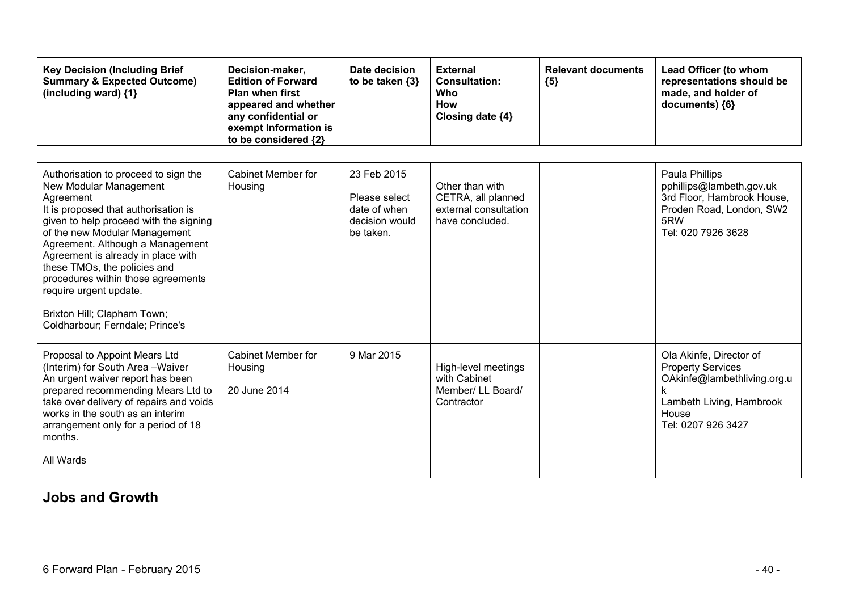| <b>Key Decision (Including Brief</b><br><b>Summary &amp; Expected Outcome)</b><br>(including ward) $\{1\}$                                                                                                                                                                                                                                                                                                                                 | Decision-maker,<br><b>Edition of Forward</b><br><b>Plan when first</b><br>appeared and whether<br>any confidential or<br>exempt Information is<br>to be considered {2} | Date decision<br>to be taken $\{3\}$                                        | <b>External</b><br><b>Consultation:</b><br>Who<br><b>How</b><br>Closing date {4}  | <b>Relevant documents</b><br>${5}$ | Lead Officer (to whom<br>representations should be<br>made, and holder of<br>documents) {6}                                                        |
|--------------------------------------------------------------------------------------------------------------------------------------------------------------------------------------------------------------------------------------------------------------------------------------------------------------------------------------------------------------------------------------------------------------------------------------------|------------------------------------------------------------------------------------------------------------------------------------------------------------------------|-----------------------------------------------------------------------------|-----------------------------------------------------------------------------------|------------------------------------|----------------------------------------------------------------------------------------------------------------------------------------------------|
| Authorisation to proceed to sign the<br>New Modular Management<br>Agreement<br>It is proposed that authorisation is<br>given to help proceed with the signing<br>of the new Modular Management<br>Agreement. Although a Management<br>Agreement is already in place with<br>these TMOs, the policies and<br>procedures within those agreements<br>require urgent update.<br>Brixton Hill; Clapham Town;<br>Coldharbour; Ferndale; Prince's | Cabinet Member for<br>Housing                                                                                                                                          | 23 Feb 2015<br>Please select<br>date of when<br>decision would<br>be taken. | Other than with<br>CETRA, all planned<br>external consultation<br>have concluded. |                                    | Paula Phillips<br>pphillips@lambeth.gov.uk<br>3rd Floor, Hambrook House,<br>Proden Road, London, SW2<br>5RW<br>Tel: 020 7926 3628                  |
| Proposal to Appoint Mears Ltd<br>(Interim) for South Area - Waiver<br>An urgent waiver report has been<br>prepared recommending Mears Ltd to<br>take over delivery of repairs and voids<br>works in the south as an interim<br>arrangement only for a period of 18<br>months.<br>All Wards                                                                                                                                                 | Cabinet Member for<br>Housing<br>20 June 2014                                                                                                                          | 9 Mar 2015                                                                  | High-level meetings<br>with Cabinet<br>Member/ LL Board/<br>Contractor            |                                    | Ola Akinfe, Director of<br><b>Property Services</b><br>OAkinfe@lambethliving.org.u<br>k<br>Lambeth Living, Hambrook<br>House<br>Tel: 0207 926 3427 |

#### **Jobs and Growth**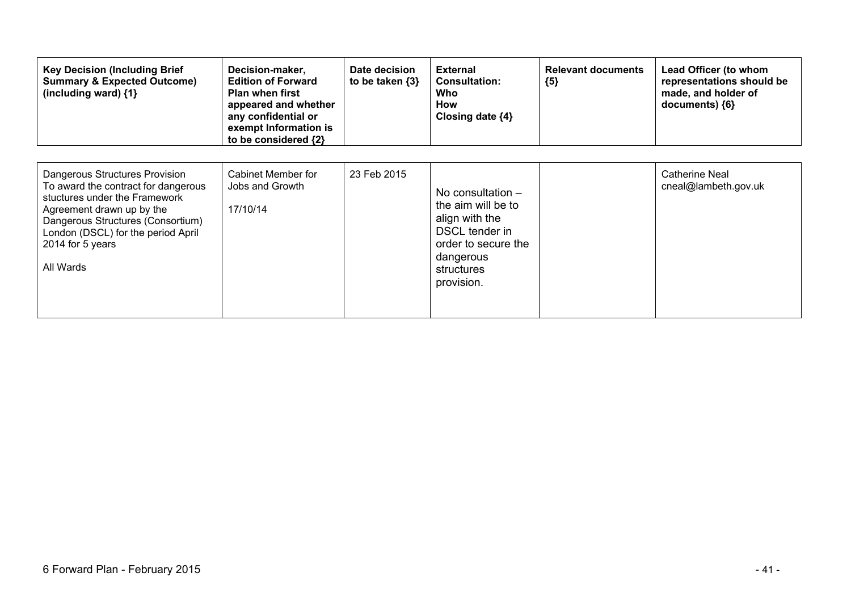| <b>Key Decision (Including Brief</b><br><b>Summary &amp; Expected Outcome)</b><br>(including ward) $\{1\}$                                                                                                                                      | Decision-maker,<br><b>Edition of Forward</b><br><b>Plan when first</b><br>appeared and whether<br>any confidential or<br>exempt Information is<br>to be considered {2} | Date decision<br>to be taken {3} | <b>External</b><br><b>Consultation:</b><br>Who<br><b>How</b><br>Closing date $\{4\}$                                                          | <b>Relevant documents</b><br>${5}$ | Lead Officer (to whom<br>representations should be<br>made, and holder of<br>documents) ${6}$ |
|-------------------------------------------------------------------------------------------------------------------------------------------------------------------------------------------------------------------------------------------------|------------------------------------------------------------------------------------------------------------------------------------------------------------------------|----------------------------------|-----------------------------------------------------------------------------------------------------------------------------------------------|------------------------------------|-----------------------------------------------------------------------------------------------|
| Dangerous Structures Provision<br>To award the contract for dangerous<br>stuctures under the Framework<br>Agreement drawn up by the<br>Dangerous Structures (Consortium)<br>London (DSCL) for the period April<br>2014 for 5 years<br>All Wards | Cabinet Member for<br>Jobs and Growth<br>17/10/14                                                                                                                      | 23 Feb 2015                      | No consultation $-$<br>the aim will be to<br>align with the<br>DSCL tender in<br>order to secure the<br>dangerous<br>structures<br>provision. |                                    | Catherine Neal<br>cneal@lambeth.gov.uk                                                        |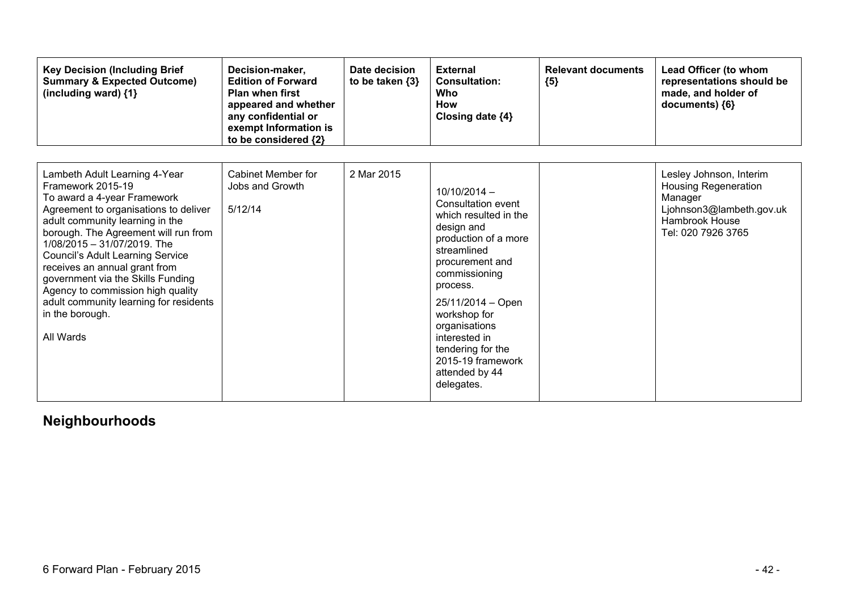| <b>Key Decision (Including Brief</b><br><b>Summary &amp; Expected Outcome)</b><br>(including ward) {1}                                                                                                                                                                                                                                                                                                                                                               | Decision-maker,<br><b>Edition of Forward</b><br><b>Plan when first</b><br>appeared and whether<br>any confidential or<br>exempt Information is<br>to be considered {2} | Date decision<br>to be taken {3} | <b>External</b><br><b>Consultation:</b><br>Who<br><b>How</b><br>Closing date ${4}$                                                                                                                                                                                                                                  | <b>Relevant documents</b><br>${5}$ | Lead Officer (to whom<br>representations should be<br>made, and holder of<br>documents) {6}                                           |
|----------------------------------------------------------------------------------------------------------------------------------------------------------------------------------------------------------------------------------------------------------------------------------------------------------------------------------------------------------------------------------------------------------------------------------------------------------------------|------------------------------------------------------------------------------------------------------------------------------------------------------------------------|----------------------------------|---------------------------------------------------------------------------------------------------------------------------------------------------------------------------------------------------------------------------------------------------------------------------------------------------------------------|------------------------------------|---------------------------------------------------------------------------------------------------------------------------------------|
| Lambeth Adult Learning 4-Year<br>Framework 2015-19<br>To award a 4-year Framework<br>Agreement to organisations to deliver<br>adult community learning in the<br>borough. The Agreement will run from<br>1/08/2015 - 31/07/2019. The<br><b>Council's Adult Learning Service</b><br>receives an annual grant from<br>government via the Skills Funding<br>Agency to commission high quality<br>adult community learning for residents<br>in the borough.<br>All Wards | Cabinet Member for<br>Jobs and Growth<br>5/12/14                                                                                                                       | 2 Mar 2015                       | $10/10/2014 -$<br>Consultation event<br>which resulted in the<br>design and<br>production of a more<br>streamlined<br>procurement and<br>commissioning<br>process.<br>25/11/2014 - Open<br>workshop for<br>organisations<br>interested in<br>tendering for the<br>2015-19 framework<br>attended by 44<br>delegates. |                                    | Lesley Johnson, Interim<br><b>Housing Regeneration</b><br>Manager<br>Ljohnson3@lambeth.gov.uk<br>Hambrook House<br>Tel: 020 7926 3765 |

# **Neighbourhoods**